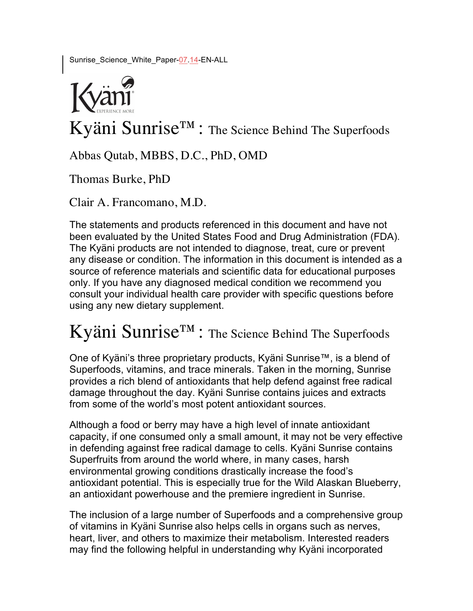Sunrise\_Science\_White\_Paper-07.14-EN-ALL



Kyäni Sunrise™: The Science Behind The Superfoods

Abbas Qutab, MBBS, D.C., PhD, OMD

Thomas Burke, PhD

Clair A. Francomano, M.D.

The statements and products referenced in this document and have not been evaluated by the United States Food and Drug Administration (FDA). The Kyäni products are not intended to diagnose, treat, cure or prevent any disease or condition. The information in this document is intended as a source of reference materials and scientific data for educational purposes only. If you have any diagnosed medical condition we recommend you consult your individual health care provider with specific questions before using any new dietary supplement.

# Kyäni Sunrise™: The Science Behind The Superfoods

One of Kyäni's three proprietary products, Kyäni Sunrise™, is a blend of Superfoods, vitamins, and trace minerals. Taken in the morning, Sunrise provides a rich blend of antioxidants that help defend against free radical damage throughout the day. Kyäni Sunrise contains juices and extracts from some of the world's most potent antioxidant sources.

Although a food or berry may have a high level of innate antioxidant capacity, if one consumed only a small amount, it may not be very effective in defending against free radical damage to cells. Kyäni Sunrise contains Superfruits from around the world where, in many cases, harsh environmental growing conditions drastically increase the food's antioxidant potential. This is especially true for the Wild Alaskan Blueberry, an antioxidant powerhouse and the premiere ingredient in Sunrise.

The inclusion of a large number of Superfoods and a comprehensive group of vitamins in Kyäni Sunrise also helps cells in organs such as nerves, heart, liver, and others to maximize their metabolism. Interested readers may find the following helpful in understanding why Kyäni incorporated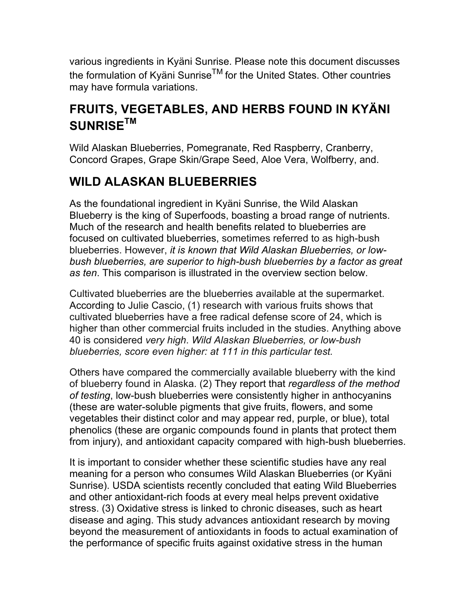various ingredients in Kyäni Sunrise. Please note this document discusses the formulation of Kyäni SunriseTM for the United States. Other countries may have formula variations.

# **FRUITS, VEGETABLES, AND HERBS FOUND IN KYÄNI SUNRISETM**

Wild Alaskan Blueberries, Pomegranate, Red Raspberry, Cranberry, Concord Grapes, Grape Skin/Grape Seed, Aloe Vera, Wolfberry, and.

### **WILD ALASKAN BLUEBERRIES**

As the foundational ingredient in Kyäni Sunrise, the Wild Alaskan Blueberry is the king of Superfoods, boasting a broad range of nutrients. Much of the research and health benefits related to blueberries are focused on cultivated blueberries, sometimes referred to as high-bush blueberries. However, *it is known that Wild Alaskan Blueberries, or lowbush blueberries, are superior to high-bush blueberries by a factor as great as ten*. This comparison is illustrated in the overview section below.

Cultivated blueberries are the blueberries available at the supermarket. According to Julie Cascio, (1) research with various fruits shows that cultivated blueberries have a free radical defense score of 24, which is higher than other commercial fruits included in the studies. Anything above 40 is considered *very high*. *Wild Alaskan Blueberries, or low-bush blueberries, score even higher: at 111 in this particular test.*

Others have compared the commercially available blueberry with the kind of blueberry found in Alaska. (2) They report that *regardless of the method of testing*, low-bush blueberries were consistently higher in anthocyanins (these are water-soluble pigments that give fruits, flowers, and some vegetables their distinct color and may appear red, purple, or blue), total phenolics (these are organic compounds found in plants that protect them from injury), and antioxidant capacity compared with high-bush blueberries.

It is important to consider whether these scientific studies have any real meaning for a person who consumes Wild Alaskan Blueberries (or Kyäni Sunrise). USDA scientists recently concluded that eating Wild Blueberries and other antioxidant-rich foods at every meal helps prevent oxidative stress. (3) Oxidative stress is linked to chronic diseases, such as heart disease and aging. This study advances antioxidant research by moving beyond the measurement of antioxidants in foods to actual examination of the performance of specific fruits against oxidative stress in the human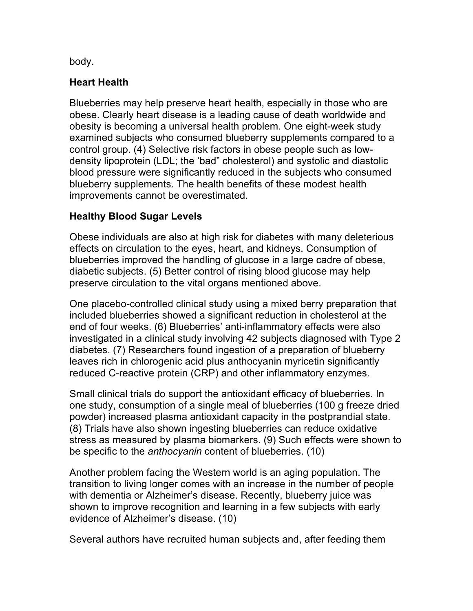body.

#### **Heart Health**

Blueberries may help preserve heart health, especially in those who are obese. Clearly heart disease is a leading cause of death worldwide and obesity is becoming a universal health problem. One eight-week study examined subjects who consumed blueberry supplements compared to a control group. (4) Selective risk factors in obese people such as lowdensity lipoprotein (LDL; the 'bad" cholesterol) and systolic and diastolic blood pressure were significantly reduced in the subjects who consumed blueberry supplements. The health benefits of these modest health improvements cannot be overestimated.

#### **Healthy Blood Sugar Levels**

Obese individuals are also at high risk for diabetes with many deleterious effects on circulation to the eyes, heart, and kidneys. Consumption of blueberries improved the handling of glucose in a large cadre of obese, diabetic subjects. (5) Better control of rising blood glucose may help preserve circulation to the vital organs mentioned above.

One placebo-controlled clinical study using a mixed berry preparation that included blueberries showed a significant reduction in cholesterol at the end of four weeks. (6) Blueberries' anti-inflammatory effects were also investigated in a clinical study involving 42 subjects diagnosed with Type 2 diabetes. (7) Researchers found ingestion of a preparation of blueberry leaves rich in chlorogenic acid plus anthocyanin myricetin significantly reduced C-reactive protein (CRP) and other inflammatory enzymes.

Small clinical trials do support the antioxidant efficacy of blueberries. In one study, consumption of a single meal of blueberries (100 g freeze dried powder) increased plasma antioxidant capacity in the postprandial state. (8) Trials have also shown ingesting blueberries can reduce oxidative stress as measured by plasma biomarkers. (9) Such effects were shown to be specific to the *anthocyanin* content of blueberries. (10)

Another problem facing the Western world is an aging population. The transition to living longer comes with an increase in the number of people with dementia or Alzheimer's disease. Recently, blueberry juice was shown to improve recognition and learning in a few subjects with early evidence of Alzheimer's disease. (10)

Several authors have recruited human subjects and, after feeding them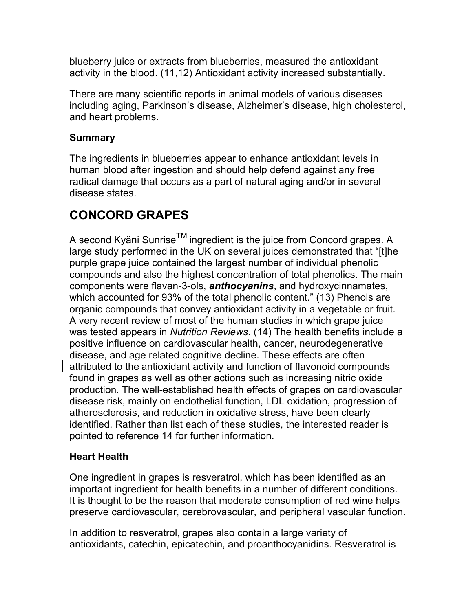blueberry juice or extracts from blueberries, measured the antioxidant activity in the blood. (11,12) Antioxidant activity increased substantially.

There are many scientific reports in animal models of various diseases including aging, Parkinson's disease, Alzheimer's disease, high cholesterol, and heart problems.

#### **Summary**

The ingredients in blueberries appear to enhance antioxidant levels in human blood after ingestion and should help defend against any free radical damage that occurs as a part of natural aging and/or in several disease states.

# **CONCORD GRAPES**

A second Kyäni Sunrise $^{TM}$  ingredient is the juice from Concord grapes. A large study performed in the UK on several juices demonstrated that "[t]he purple grape juice contained the largest number of individual phenolic compounds and also the highest concentration of total phenolics. The main components were flavan-3-ols, *anthocyanins*, and hydroxycinnamates, which accounted for 93% of the total phenolic content." (13) Phenols are organic compounds that convey antioxidant activity in a vegetable or fruit. A very recent review of most of the human studies in which grape juice was tested appears in *Nutrition Reviews.* (14) The health benefits include a positive influence on cardiovascular health, cancer, neurodegenerative disease, and age related cognitive decline. These effects are often attributed to the antioxidant activity and function of flavonoid compounds found in grapes as well as other actions such as increasing nitric oxide production. The well-established health effects of grapes on cardiovascular disease risk, mainly on endothelial function, LDL oxidation, progression of atherosclerosis, and reduction in oxidative stress, have been clearly identified. Rather than list each of these studies, the interested reader is pointed to reference 14 for further information.

#### **Heart Health**

One ingredient in grapes is resveratrol, which has been identified as an important ingredient for health benefits in a number of different conditions. It is thought to be the reason that moderate consumption of red wine helps preserve cardiovascular, cerebrovascular, and peripheral vascular function.

In addition to resveratrol, grapes also contain a large variety of antioxidants, catechin, epicatechin, and proanthocyanidins. Resveratrol is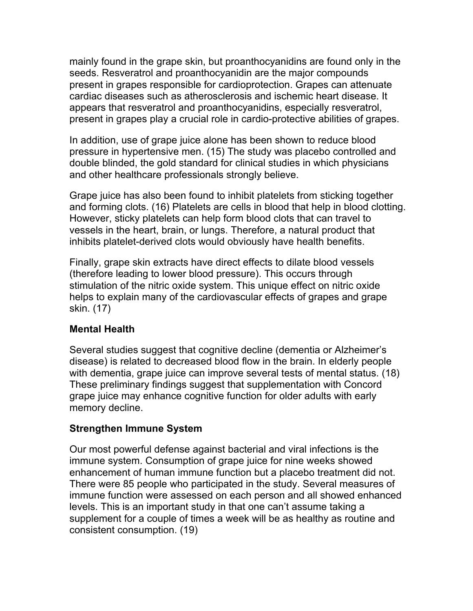mainly found in the grape skin, but proanthocyanidins are found only in the seeds. Resveratrol and proanthocyanidin are the major compounds present in grapes responsible for cardioprotection. Grapes can attenuate cardiac diseases such as atherosclerosis and ischemic heart disease. It appears that resveratrol and proanthocyanidins, especially resveratrol, present in grapes play a crucial role in cardio-protective abilities of grapes.

In addition, use of grape juice alone has been shown to reduce blood pressure in hypertensive men. (15) The study was placebo controlled and double blinded, the gold standard for clinical studies in which physicians and other healthcare professionals strongly believe.

Grape juice has also been found to inhibit platelets from sticking together and forming clots. (16) Platelets are cells in blood that help in blood clotting. However, sticky platelets can help form blood clots that can travel to vessels in the heart, brain, or lungs. Therefore, a natural product that inhibits platelet-derived clots would obviously have health benefits.

Finally, grape skin extracts have direct effects to dilate blood vessels (therefore leading to lower blood pressure). This occurs through stimulation of the nitric oxide system. This unique effect on nitric oxide helps to explain many of the cardiovascular effects of grapes and grape skin. (17)

#### **Mental Health**

Several studies suggest that cognitive decline (dementia or Alzheimer's disease) is related to decreased blood flow in the brain. In elderly people with dementia, grape juice can improve several tests of mental status. (18) These preliminary findings suggest that supplementation with Concord grape juice may enhance cognitive function for older adults with early memory decline.

#### **Strengthen Immune System**

Our most powerful defense against bacterial and viral infections is the immune system. Consumption of grape juice for nine weeks showed enhancement of human immune function but a placebo treatment did not. There were 85 people who participated in the study. Several measures of immune function were assessed on each person and all showed enhanced levels. This is an important study in that one can't assume taking a supplement for a couple of times a week will be as healthy as routine and consistent consumption. (19)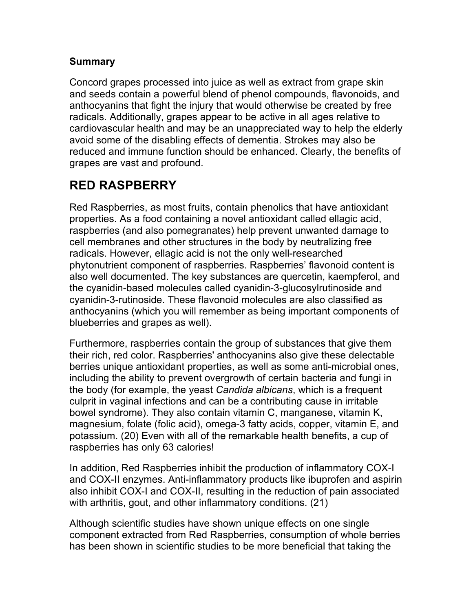#### **Summary**

Concord grapes processed into juice as well as extract from grape skin and seeds contain a powerful blend of phenol compounds, flavonoids, and anthocyanins that fight the injury that would otherwise be created by free radicals. Additionally, grapes appear to be active in all ages relative to cardiovascular health and may be an unappreciated way to help the elderly avoid some of the disabling effects of dementia. Strokes may also be reduced and immune function should be enhanced. Clearly, the benefits of grapes are vast and profound.

# **RED RASPBERRY**

Red Raspberries, as most fruits, contain phenolics that have antioxidant properties. As a food containing a novel antioxidant called ellagic acid, raspberries (and also pomegranates) help prevent unwanted damage to cell membranes and other structures in the body by neutralizing free radicals. However, ellagic acid is not the only well-researched phytonutrient component of raspberries. Raspberries' flavonoid content is also well documented. The key substances are quercetin, kaempferol, and the cyanidin-based molecules called cyanidin-3-glucosylrutinoside and cyanidin-3-rutinoside. These flavonoid molecules are also classified as anthocyanins (which you will remember as being important components of blueberries and grapes as well).

Furthermore, raspberries contain the group of substances that give them their rich, red color. Raspberries' anthocyanins also give these delectable berries unique antioxidant properties, as well as some anti-microbial ones, including the ability to prevent overgrowth of certain bacteria and fungi in the body (for example, the yeast *Candida albicans*, which is a frequent culprit in vaginal infections and can be a contributing cause in irritable bowel syndrome). They also contain vitamin C, manganese, vitamin K, magnesium, folate (folic acid), omega-3 fatty acids, copper, vitamin E, and potassium. (20) Even with all of the remarkable health benefits, a cup of raspberries has only 63 calories!

In addition, Red Raspberries inhibit the production of inflammatory COX-I and COX-II enzymes. Anti-inflammatory products like ibuprofen and aspirin also inhibit COX-I and COX-II, resulting in the reduction of pain associated with arthritis, gout, and other inflammatory conditions. (21)

Although scientific studies have shown unique effects on one single component extracted from Red Raspberries, consumption of whole berries has been shown in scientific studies to be more beneficial that taking the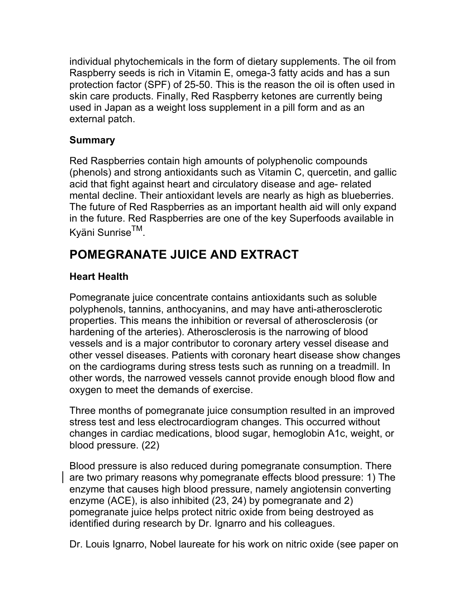individual phytochemicals in the form of dietary supplements. The oil from Raspberry seeds is rich in Vitamin E, omega-3 fatty acids and has a sun protection factor (SPF) of 25-50. This is the reason the oil is often used in skin care products. Finally, Red Raspberry ketones are currently being used in Japan as a weight loss supplement in a pill form and as an external patch.

#### **Summary**

Red Raspberries contain high amounts of polyphenolic compounds (phenols) and strong antioxidants such as Vitamin C, quercetin, and gallic acid that fight against heart and circulatory disease and age- related mental decline. Their antioxidant levels are nearly as high as blueberries. The future of Red Raspberries as an important health aid will only expand in the future. Red Raspberries are one of the key Superfoods available in Kyäni SunriseTM.

# **POMEGRANATE JUICE AND EXTRACT**

#### **Heart Health**

Pomegranate juice concentrate contains antioxidants such as soluble polyphenols, tannins, anthocyanins, and may have anti-atherosclerotic properties. This means the inhibition or reversal of atherosclerosis (or hardening of the arteries). Atherosclerosis is the narrowing of blood vessels and is a major contributor to coronary artery vessel disease and other vessel diseases. Patients with coronary heart disease show changes on the cardiograms during stress tests such as running on a treadmill. In other words, the narrowed vessels cannot provide enough blood flow and oxygen to meet the demands of exercise.

Three months of pomegranate juice consumption resulted in an improved stress test and less electrocardiogram changes. This occurred without changes in cardiac medications, blood sugar, hemoglobin A1c, weight, or blood pressure. (22)

Blood pressure is also reduced during pomegranate consumption. There are two primary reasons why pomegranate effects blood pressure: 1) The enzyme that causes high blood pressure, namely angiotensin converting enzyme (ACE), is also inhibited (23, 24) by pomegranate and 2) pomegranate juice helps protect nitric oxide from being destroyed as identified during research by Dr. Ignarro and his colleagues.

Dr. Louis Ignarro, Nobel laureate for his work on nitric oxide (see paper on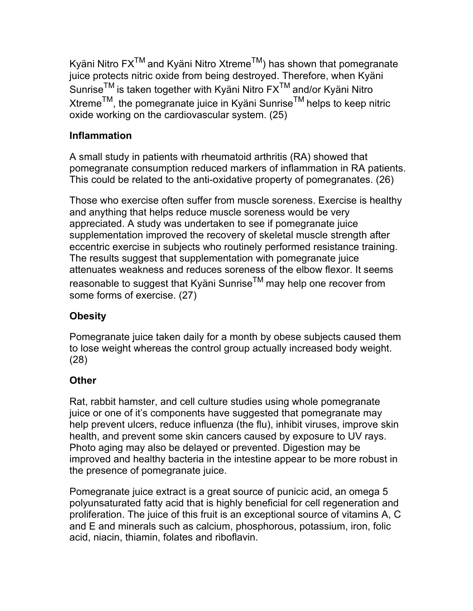Kyäni Nitro  $FX^{TM}$  and Kyäni Nitro Xtreme<sup>TM</sup>) has shown that pomegranate juice protects nitric oxide from being destroyed. Therefore, when Kyäni Sunrise<sup>™</sup> is taken together with Kyäni Nitro FX<sup>™</sup> and/or Kyäni Nitro Xtreme<sup>TM</sup>, the pomegranate juice in Kyäni Sunrise<sup>TM</sup> helps to keep nitric oxide working on the cardiovascular system. (25)

#### **Inflammation**

A small study in patients with rheumatoid arthritis (RA) showed that pomegranate consumption reduced markers of inflammation in RA patients. This could be related to the anti-oxidative property of pomegranates. (26)

Those who exercise often suffer from muscle soreness. Exercise is healthy and anything that helps reduce muscle soreness would be very appreciated. A study was undertaken to see if pomegranate juice supplementation improved the recovery of skeletal muscle strength after eccentric exercise in subjects who routinely performed resistance training. The results suggest that supplementation with pomegranate juice attenuates weakness and reduces soreness of the elbow flexor. It seems reasonable to suggest that Kyäni Sunrise<sup>TM</sup> may help one recover from some forms of exercise. (27)

#### **Obesity**

Pomegranate juice taken daily for a month by obese subjects caused them to lose weight whereas the control group actually increased body weight. (28)

#### **Other**

Rat, rabbit hamster, and cell culture studies using whole pomegranate juice or one of it's components have suggested that pomegranate may help prevent ulcers, reduce influenza (the flu), inhibit viruses, improve skin health, and prevent some skin cancers caused by exposure to UV rays. Photo aging may also be delayed or prevented. Digestion may be improved and healthy bacteria in the intestine appear to be more robust in the presence of pomegranate juice.

Pomegranate juice extract is a great source of punicic acid, an omega 5 polyunsaturated fatty acid that is highly beneficial for cell regeneration and proliferation. The juice of this fruit is an exceptional source of vitamins A, C and E and minerals such as calcium, phosphorous, potassium, iron, folic acid, niacin, thiamin, folates and riboflavin.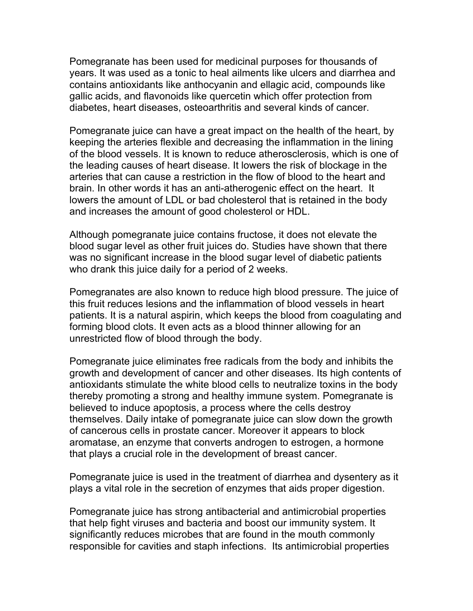Pomegranate has been used for medicinal purposes for thousands of years. It was used as a tonic to heal ailments like ulcers and diarrhea and contains antioxidants like anthocyanin and ellagic acid, compounds like gallic acids, and flavonoids like quercetin which offer protection from diabetes, heart diseases, osteoarthritis and several kinds of cancer.

Pomegranate juice can have a great impact on the health of the heart, by keeping the arteries flexible and decreasing the inflammation in the lining of the blood vessels. It is known to reduce atherosclerosis, which is one of the leading causes of heart disease. It lowers the risk of blockage in the arteries that can cause a restriction in the flow of blood to the heart and brain. In other words it has an anti-atherogenic effect on the heart. It lowers the amount of LDL or bad cholesterol that is retained in the body and increases the amount of good cholesterol or HDL.

Although pomegranate juice contains fructose, it does not elevate the blood sugar level as other fruit juices do. Studies have shown that there was no significant increase in the blood sugar level of diabetic patients who drank this juice daily for a period of 2 weeks.

Pomegranates are also known to reduce high blood pressure. The juice of this fruit reduces lesions and the inflammation of blood vessels in heart patients. It is a natural aspirin, which keeps the blood from coagulating and forming blood clots. It even acts as a blood thinner allowing for an unrestricted flow of blood through the body.

Pomegranate juice eliminates free radicals from the body and inhibits the growth and development of cancer and other diseases. Its high contents of antioxidants stimulate the white blood cells to neutralize toxins in the body thereby promoting a strong and healthy immune system. Pomegranate is believed to induce apoptosis, a process where the cells destroy themselves. Daily intake of pomegranate juice can slow down the growth of cancerous cells in prostate cancer. Moreover it appears to block aromatase, an enzyme that converts androgen to estrogen, a hormone that plays a crucial role in the development of breast cancer.

Pomegranate juice is used in the treatment of diarrhea and dysentery as it plays a vital role in the secretion of enzymes that aids proper digestion.

Pomegranate juice has strong antibacterial and antimicrobial properties that help fight viruses and bacteria and boost our immunity system. It significantly reduces microbes that are found in the mouth commonly responsible for cavities and staph infections. Its antimicrobial properties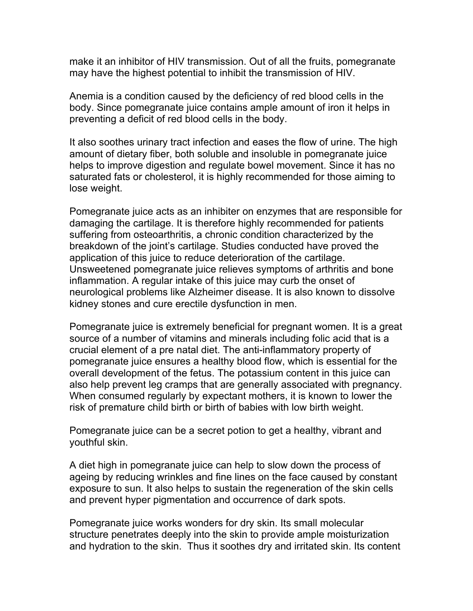make it an inhibitor of HIV transmission. Out of all the fruits, pomegranate may have the highest potential to inhibit the transmission of HIV.

Anemia is a condition caused by the deficiency of red blood cells in the body. Since pomegranate juice contains ample amount of iron it helps in preventing a deficit of red blood cells in the body.

It also soothes urinary tract infection and eases the flow of urine. The high amount of dietary fiber, both soluble and insoluble in pomegranate juice helps to improve digestion and regulate bowel movement. Since it has no saturated fats or cholesterol, it is highly recommended for those aiming to lose weight.

Pomegranate juice acts as an inhibiter on enzymes that are responsible for damaging the cartilage. It is therefore highly recommended for patients suffering from osteoarthritis, a chronic condition characterized by the breakdown of the joint's cartilage. Studies conducted have proved the application of this juice to reduce deterioration of the cartilage. Unsweetened pomegranate juice relieves symptoms of arthritis and bone inflammation. A regular intake of this juice may curb the onset of neurological problems like Alzheimer disease. It is also known to dissolve kidney stones and cure erectile dysfunction in men.

Pomegranate juice is extremely beneficial for pregnant women. It is a great source of a number of vitamins and minerals including folic acid that is a crucial element of a pre natal diet. The anti-inflammatory property of pomegranate juice ensures a healthy blood flow, which is essential for the overall development of the fetus. The potassium content in this juice can also help prevent leg cramps that are generally associated with pregnancy. When consumed regularly by expectant mothers, it is known to lower the risk of premature child birth or birth of babies with low birth weight.

Pomegranate juice can be a secret potion to get a healthy, vibrant and youthful skin.

A diet high in pomegranate juice can help to slow down the process of ageing by reducing wrinkles and fine lines on the face caused by constant exposure to sun. It also helps to sustain the regeneration of the skin cells and prevent hyper pigmentation and occurrence of dark spots.

Pomegranate juice works wonders for dry skin. Its small molecular structure penetrates deeply into the skin to provide ample moisturization and hydration to the skin. Thus it soothes dry and irritated skin. Its content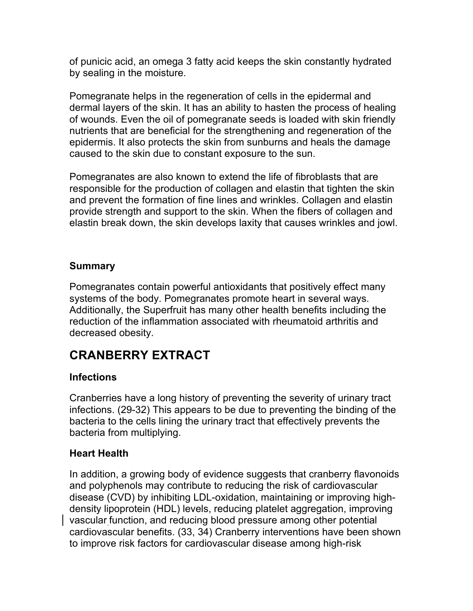of punicic acid, an omega 3 fatty acid keeps the skin constantly hydrated by sealing in the moisture.

Pomegranate helps in the regeneration of cells in the epidermal and dermal layers of the skin. It has an ability to hasten the process of healing of wounds. Even the oil of pomegranate seeds is loaded with skin friendly nutrients that are beneficial for the strengthening and regeneration of the epidermis. It also protects the skin from sunburns and heals the damage caused to the skin due to constant exposure to the sun.

Pomegranates are also known to extend the life of fibroblasts that are responsible for the production of collagen and elastin that tighten the skin and prevent the formation of fine lines and wrinkles. Collagen and elastin provide strength and support to the skin. When the fibers of collagen and elastin break down, the skin develops laxity that causes wrinkles and jowl.

#### **Summary**

Pomegranates contain powerful antioxidants that positively effect many systems of the body. Pomegranates promote heart in several ways. Additionally, the Superfruit has many other health benefits including the reduction of the inflammation associated with rheumatoid arthritis and decreased obesity.

# **CRANBERRY EXTRACT**

#### **Infections**

Cranberries have a long history of preventing the severity of urinary tract infections. (29-32) This appears to be due to preventing the binding of the bacteria to the cells lining the urinary tract that effectively prevents the bacteria from multiplying.

#### **Heart Health**

In addition, a growing body of evidence suggests that cranberry flavonoids and polyphenols may contribute to reducing the risk of cardiovascular disease (CVD) by inhibiting LDL-oxidation, maintaining or improving highdensity lipoprotein (HDL) levels, reducing platelet aggregation, improving vascular function, and reducing blood pressure among other potential cardiovascular benefits. (33, 34) Cranberry interventions have been shown to improve risk factors for cardiovascular disease among high-risk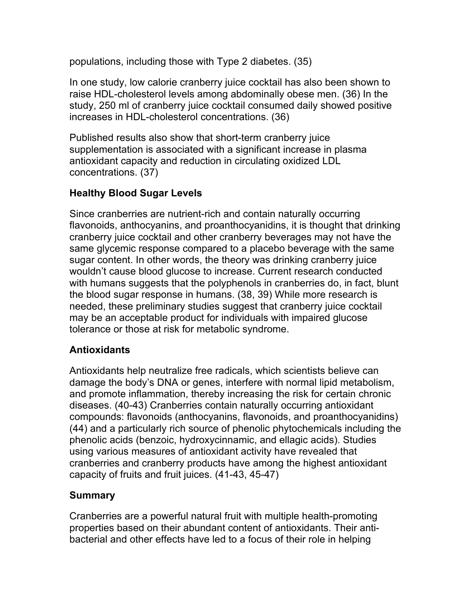populations, including those with Type 2 diabetes. (35)

In one study, low calorie cranberry juice cocktail has also been shown to raise HDL-cholesterol levels among abdominally obese men. (36) In the study, 250 ml of cranberry juice cocktail consumed daily showed positive increases in HDL-cholesterol concentrations. (36)

Published results also show that short-term cranberry juice supplementation is associated with a significant increase in plasma antioxidant capacity and reduction in circulating oxidized LDL concentrations. (37)

#### **Healthy Blood Sugar Levels**

Since cranberries are nutrient-rich and contain naturally occurring flavonoids, anthocyanins, and proanthocyanidins, it is thought that drinking cranberry juice cocktail and other cranberry beverages may not have the same glycemic response compared to a placebo beverage with the same sugar content. In other words, the theory was drinking cranberry juice wouldn't cause blood glucose to increase. Current research conducted with humans suggests that the polyphenols in cranberries do, in fact, blunt the blood sugar response in humans. (38, 39) While more research is needed, these preliminary studies suggest that cranberry juice cocktail may be an acceptable product for individuals with impaired glucose tolerance or those at risk for metabolic syndrome.

#### **Antioxidants**

Antioxidants help neutralize free radicals, which scientists believe can damage the body's DNA or genes, interfere with normal lipid metabolism, and promote inflammation, thereby increasing the risk for certain chronic diseases. (40-43) Cranberries contain naturally occurring antioxidant compounds: flavonoids (anthocyanins, flavonoids, and proanthocyanidins) (44) and a particularly rich source of phenolic phytochemicals including the phenolic acids (benzoic, hydroxycinnamic, and ellagic acids). Studies using various measures of antioxidant activity have revealed that cranberries and cranberry products have among the highest antioxidant capacity of fruits and fruit juices. (41-43, 45-47)

#### **Summary**

Cranberries are a powerful natural fruit with multiple health-promoting properties based on their abundant content of antioxidants. Their antibacterial and other effects have led to a focus of their role in helping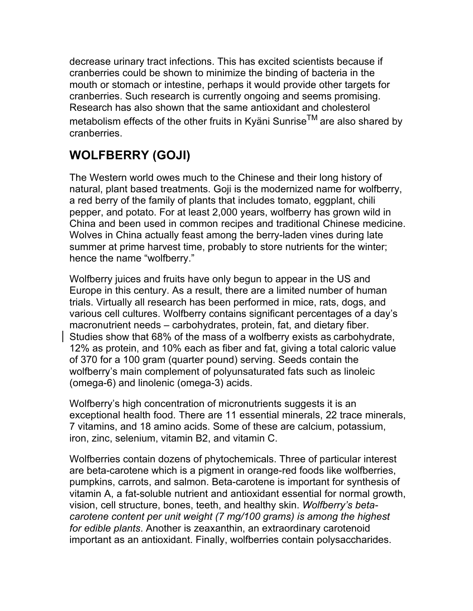decrease urinary tract infections. This has excited scientists because if cranberries could be shown to minimize the binding of bacteria in the mouth or stomach or intestine, perhaps it would provide other targets for cranberries. Such research is currently ongoing and seems promising. Research has also shown that the same antioxidant and cholesterol metabolism effects of the other fruits in Kyäni Sunrise $^{TM}$  are also shared by cranberries.

# **WOLFBERRY (GOJI)**

The Western world owes much to the Chinese and their long history of natural, plant based treatments. Goji is the modernized name for wolfberry, a red berry of the family of plants that includes tomato, eggplant, chili pepper, and potato. For at least 2,000 years, wolfberry has grown wild in China and been used in common recipes and traditional Chinese medicine. Wolves in China actually feast among the berry-laden vines during late summer at prime harvest time, probably to store nutrients for the winter; hence the name "wolfberry."

Wolfberry juices and fruits have only begun to appear in the US and Europe in this century. As a result, there are a limited number of human trials. Virtually all research has been performed in mice, rats, dogs, and various cell cultures. Wolfberry contains significant percentages of a day's macronutrient needs – carbohydrates, protein, fat, and dietary fiber. Studies show that 68% of the mass of a wolfberry exists as carbohydrate, 12% as protein, and 10% each as fiber and fat, giving a total caloric value of 370 for a 100 gram (quarter pound) serving. Seeds contain the wolfberry's main complement of polyunsaturated fats such as linoleic (omega-6) and linolenic (omega-3) acids.

Wolfberry's high concentration of micronutrients suggests it is an exceptional health food. There are 11 essential minerals, 22 trace minerals, 7 vitamins, and 18 amino acids. Some of these are calcium, potassium, iron, zinc, selenium, vitamin B2, and vitamin C.

Wolfberries contain dozens of phytochemicals. Three of particular interest are beta-carotene which is a pigment in orange-red foods like wolfberries, pumpkins, carrots, and salmon. Beta-carotene is important for synthesis of vitamin A, a fat-soluble nutrient and antioxidant essential for normal growth, vision, cell structure, bones, teeth, and healthy skin. *Wolfberry's betacarotene content per unit weight (7 mg/100 grams) is among the highest for edible plants*. Another is zeaxanthin, an extraordinary carotenoid important as an antioxidant. Finally, wolfberries contain polysaccharides.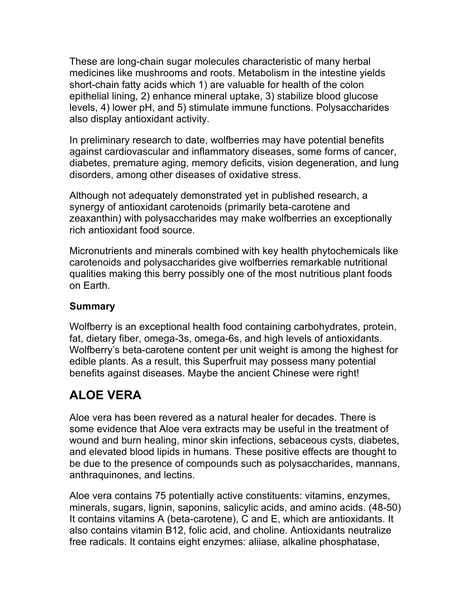These are long-chain sugar molecules characteristic of many herbal medicines like mushrooms and roots. Metabolism in the intestine yields short-chain fatty acids which 1) are valuable for health of the colon epithelial lining, 2) enhance mineral uptake, 3) stabilize blood glucose levels, 4) lower pH, and 5) stimulate immune functions. Polysaccharides also display antioxidant activity.

In preliminary research to date, wolfberries may have potential benefits against cardiovascular and inflammatory diseases, some forms of cancer, diabetes, premature aging, memory deficits, vision degeneration, and lung disorders, among other diseases of oxidative stress.

Although not adequately demonstrated yet in published research, a synergy of antioxidant carotenoids (primarily beta-carotene and zeaxanthin) with polysaccharides may make wolfberries an exceptionally rich antioxidant food source.

Micronutrients and minerals combined with key health phytochemicals like carotenoids and polysaccharides give wolfberries remarkable nutritional qualities making this berry possibly one of the most nutritious plant foods on Earth.

#### **Summary**

Wolfberry is an exceptional health food containing carbohydrates, protein, fat, dietary fiber, omega-3s, omega-6s, and high levels of antioxidants. Wolfberry's beta-carotene content per unit weight is among the highest for edible plants. As a result, this Superfruit may possess many potential benefits against diseases. Maybe the ancient Chinese were right!

# **ALOE VERA**

Aloe vera has been revered as a natural healer for decades. There is some evidence that Aloe vera extracts may be useful in the treatment of wound and burn healing, minor skin infections, sebaceous cysts, diabetes, and elevated blood lipids in humans. These positive effects are thought to be due to the presence of compounds such as polysaccharides, mannans, anthraquinones, and lectins.

Aloe vera contains 75 potentially active constituents: vitamins, enzymes, minerals, sugars, lignin, saponins, salicylic acids, and amino acids. (48-50) It contains vitamins A (beta-carotene), C and E, which are antioxidants. It also contains vitamin B12, folic acid, and choline. Antioxidants neutralize free radicals. It contains eight enzymes: aliiase, alkaline phosphatase,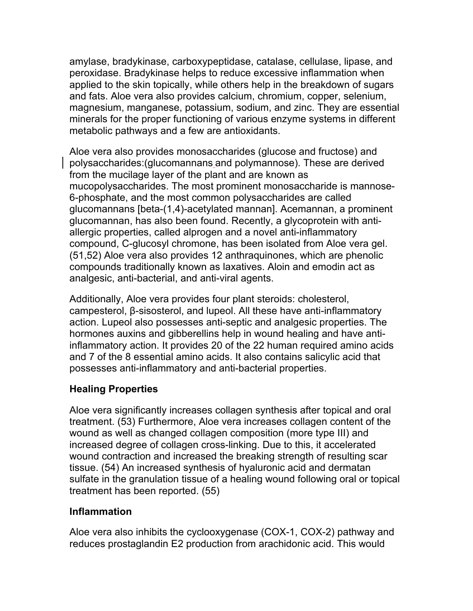amylase, bradykinase, carboxypeptidase, catalase, cellulase, lipase, and peroxidase. Bradykinase helps to reduce excessive inflammation when applied to the skin topically, while others help in the breakdown of sugars and fats. Aloe vera also provides calcium, chromium, copper, selenium, magnesium, manganese, potassium, sodium, and zinc. They are essential minerals for the proper functioning of various enzyme systems in different metabolic pathways and a few are antioxidants.

Aloe vera also provides monosaccharides (glucose and fructose) and polysaccharides:(glucomannans and polymannose). These are derived from the mucilage layer of the plant and are known as mucopolysaccharides. The most prominent monosaccharide is mannose-6-phosphate, and the most common polysaccharides are called glucomannans [beta-(1,4)-acetylated mannan]. Acemannan, a prominent glucomannan, has also been found. Recently, a glycoprotein with antiallergic properties, called alprogen and a novel anti-inflammatory compound, C-glucosyl chromone, has been isolated from Aloe vera gel. (51,52) Aloe vera also provides 12 anthraquinones, which are phenolic compounds traditionally known as laxatives. Aloin and emodin act as analgesic, anti-bacterial, and anti-viral agents.

Additionally, Aloe vera provides four plant steroids: cholesterol, campesterol, β-sisosterol, and lupeol. All these have anti-inflammatory action. Lupeol also possesses anti-septic and analgesic properties. The hormones auxins and gibberellins help in wound healing and have antiinflammatory action. It provides 20 of the 22 human required amino acids and 7 of the 8 essential amino acids. It also contains salicylic acid that possesses anti-inflammatory and anti-bacterial properties.

#### **Healing Properties**

Aloe vera significantly increases collagen synthesis after topical and oral treatment. (53) Furthermore, Aloe vera increases collagen content of the wound as well as changed collagen composition (more type III) and increased degree of collagen cross-linking. Due to this, it accelerated wound contraction and increased the breaking strength of resulting scar tissue. (54) An increased synthesis of hyaluronic acid and dermatan sulfate in the granulation tissue of a healing wound following oral or topical treatment has been reported. (55)

#### **Inflammation**

Aloe vera also inhibits the cyclooxygenase (COX-1, COX-2) pathway and reduces prostaglandin E2 production from arachidonic acid. This would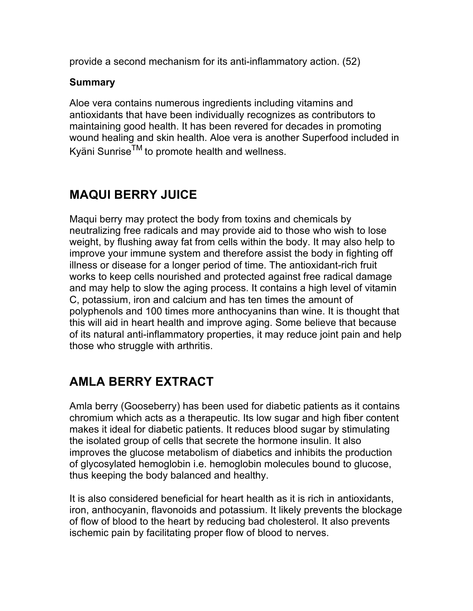provide a second mechanism for its anti-inflammatory action. (52)

#### **Summary**

Aloe vera contains numerous ingredients including vitamins and antioxidants that have been individually recognizes as contributors to maintaining good health. It has been revered for decades in promoting wound healing and skin health. Aloe vera is another Superfood included in Kyäni Sunrise $^{TM}$  to promote health and wellness.

### **MAQUI BERRY JUICE**

Maqui berry may protect the body from toxins and chemicals by neutralizing free radicals and may provide aid to those who wish to lose weight, by flushing away fat from cells within the body. It may also help to improve your immune system and therefore assist the body in fighting off illness or disease for a longer period of time. The antioxidant-rich fruit works to keep cells nourished and protected against free radical damage and may help to slow the aging process. It contains a high level of vitamin C, potassium, iron and calcium and has ten times the amount of polyphenols and 100 times more anthocyanins than wine. It is thought that this will aid in heart health and improve aging. Some believe that because of its natural anti-inflammatory properties, it may reduce joint pain and help those who struggle with arthritis.

# **AMLA BERRY EXTRACT**

Amla berry (Gooseberry) has been used for diabetic patients as it contains chromium which acts as a therapeutic. Its low sugar and high fiber content makes it ideal for diabetic patients. It reduces blood sugar by stimulating the isolated group of cells that secrete the hormone insulin. It also improves the glucose metabolism of diabetics and inhibits the production of glycosylated hemoglobin i.e. hemoglobin molecules bound to glucose, thus keeping the body balanced and healthy.

It is also considered beneficial for heart health as it is rich in antioxidants, iron, anthocyanin, flavonoids and potassium. It likely prevents the blockage of flow of blood to the heart by reducing bad cholesterol. It also prevents ischemic pain by facilitating proper flow of blood to nerves.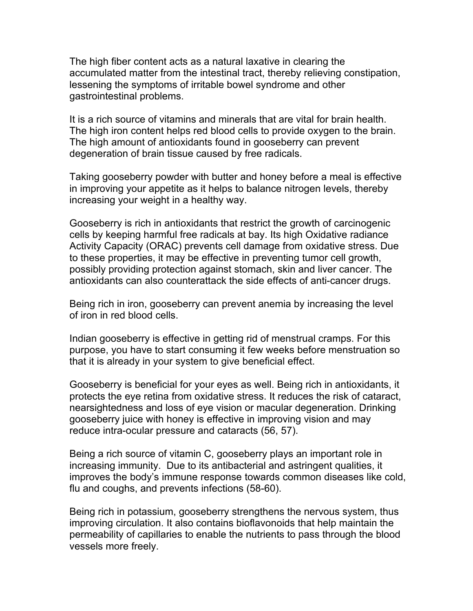The high fiber content acts as a natural laxative in clearing the accumulated matter from the intestinal tract, thereby relieving constipation, lessening the symptoms of irritable bowel syndrome and other gastrointestinal problems.

It is a rich source of vitamins and minerals that are vital for brain health. The high iron content helps red blood cells to provide oxygen to the brain. The high amount of antioxidants found in gooseberry can prevent degeneration of brain tissue caused by free radicals.

Taking gooseberry powder with butter and honey before a meal is effective in improving your appetite as it helps to balance nitrogen levels, thereby increasing your weight in a healthy way.

Gooseberry is rich in antioxidants that restrict the growth of carcinogenic cells by keeping harmful free radicals at bay. Its high Oxidative radiance Activity Capacity (ORAC) prevents cell damage from oxidative stress. Due to these properties, it may be effective in preventing tumor cell growth, possibly providing protection against stomach, skin and liver cancer. The antioxidants can also counterattack the side effects of anti-cancer drugs.

Being rich in iron, gooseberry can prevent anemia by increasing the level of iron in red blood cells.

Indian gooseberry is effective in getting rid of menstrual cramps. For this purpose, you have to start consuming it few weeks before menstruation so that it is already in your system to give beneficial effect.

Gooseberry is beneficial for your eyes as well. Being rich in antioxidants, it protects the eye retina from oxidative stress. It reduces the risk of cataract, nearsightedness and loss of eye vision or macular degeneration. Drinking gooseberry juice with honey is effective in improving vision and may reduce intra-ocular pressure and cataracts (56, 57).

Being a rich source of vitamin C, gooseberry plays an important role in increasing immunity. Due to its antibacterial and astringent qualities, it improves the body's immune response towards common diseases like cold, flu and coughs, and prevents infections (58-60).

Being rich in potassium, gooseberry strengthens the nervous system, thus improving circulation. It also contains bioflavonoids that help maintain the permeability of capillaries to enable the nutrients to pass through the blood vessels more freely.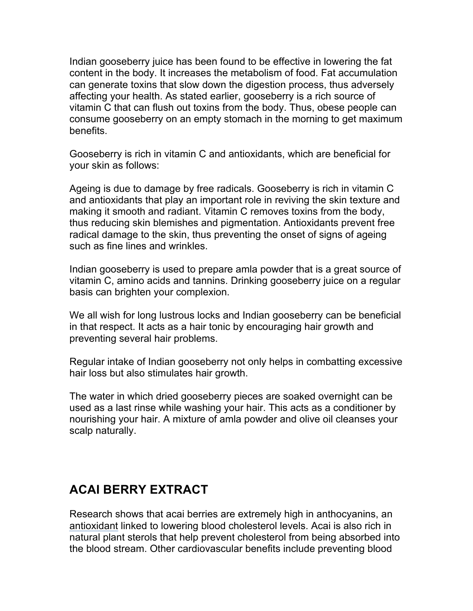Indian gooseberry juice has been found to be effective in lowering the fat content in the body. It increases the metabolism of food. Fat accumulation can generate toxins that slow down the digestion process, thus adversely affecting your health. As stated earlier, gooseberry is a rich source of vitamin C that can flush out toxins from the body. Thus, obese people can consume gooseberry on an empty stomach in the morning to get maximum benefits.

Gooseberry is rich in vitamin C and antioxidants, which are beneficial for your skin as follows:

Ageing is due to damage by free radicals. Gooseberry is rich in vitamin C and antioxidants that play an important role in reviving the skin texture and making it smooth and radiant. Vitamin C removes toxins from the body, thus reducing skin blemishes and pigmentation. Antioxidants prevent free radical damage to the skin, thus preventing the onset of signs of ageing such as fine lines and wrinkles.

Indian gooseberry is used to prepare amla powder that is a great source of vitamin C, amino acids and tannins. Drinking gooseberry juice on a regular basis can brighten your complexion.

We all wish for long lustrous locks and Indian gooseberry can be beneficial in that respect. It acts as a hair tonic by encouraging hair growth and preventing several hair problems.

Regular intake of Indian gooseberry not only helps in combatting excessive hair loss but also stimulates hair growth.

The water in which dried gooseberry pieces are soaked overnight can be used as a last rinse while washing your hair. This acts as a conditioner by nourishing your hair. A mixture of amla powder and olive oil cleanses your scalp naturally.

### **ACAI BERRY EXTRACT**

Research shows that acai berries are extremely high in anthocyanins, an antioxidant linked to lowering blood cholesterol levels. Acai is also rich in natural plant sterols that help prevent cholesterol from being absorbed into the blood stream. Other cardiovascular benefits include preventing blood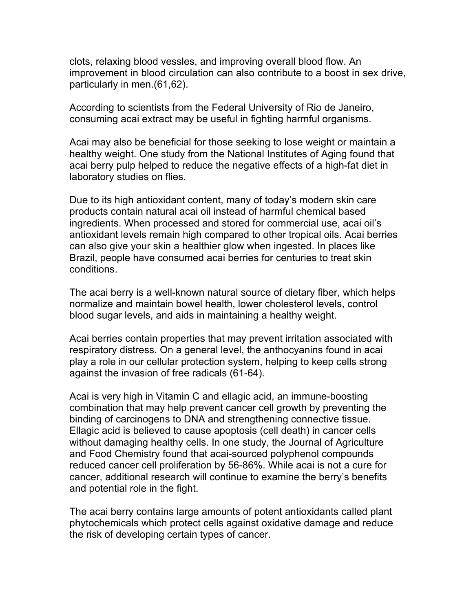clots, relaxing blood vessles, and improving overall blood flow. An improvement in blood circulation can also contribute to a boost in sex drive, particularly in men.(61,62).

According to scientists from the Federal University of Rio de Janeiro, consuming acai extract may be useful in fighting harmful organisms.

Acai may also be beneficial for those seeking to lose weight or maintain a healthy weight. One study from the National Institutes of Aging found that acai berry pulp helped to reduce the negative effects of a high-fat diet in laboratory studies on flies.

Due to its high antioxidant content, many of today's modern skin care products contain natural acai oil instead of harmful chemical based ingredients. When processed and stored for commercial use, acai oil's antioxidant levels remain high compared to other tropical oils. Acai berries can also give your skin a healthier glow when ingested. In places like Brazil, people have consumed acai berries for centuries to treat skin conditions.

The acai berry is a well-known natural source of dietary fiber, which helps normalize and maintain bowel health, lower cholesterol levels, control blood sugar levels, and aids in maintaining a healthy weight.

Acai berries contain properties that may prevent irritation associated with respiratory distress. On a general level, the anthocyanins found in acai play a role in our cellular protection system, helping to keep cells strong against the invasion of free radicals (61-64).

Acai is very high in Vitamin C and ellagic acid, an immune-boosting combination that may help prevent cancer cell growth by preventing the binding of carcinogens to DNA and strengthening connective tissue. Ellagic acid is believed to cause apoptosis (cell death) in cancer cells without damaging healthy cells. In one study, the Journal of Agriculture and Food Chemistry found that acai-sourced polyphenol compounds reduced cancer cell proliferation by 56-86%. While acai is not a cure for cancer, additional research will continue to examine the berry's benefits and potential role in the fight.

The acai berry contains large amounts of potent antioxidants called plant phytochemicals which protect cells against oxidative damage and reduce the risk of developing certain types of cancer.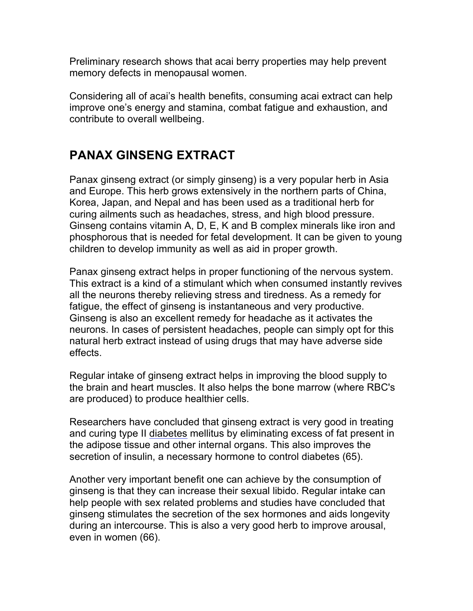Preliminary research shows that acai berry properties may help prevent memory defects in menopausal women.

Considering all of acai's health benefits, consuming acai extract can help improve one's energy and stamina, combat fatigue and exhaustion, and contribute to overall wellbeing.

### **PANAX GINSENG EXTRACT**

Panax ginseng extract (or simply ginseng) is a very popular herb in Asia and Europe. This herb grows extensively in the northern parts of China, Korea, Japan, and Nepal and has been used as a traditional herb for curing ailments such as headaches, stress, and high blood pressure. Ginseng contains vitamin A, D, E, K and B complex minerals like iron and phosphorous that is needed for fetal development. It can be given to young children to develop immunity as well as aid in proper growth.

Panax ginseng extract helps in proper functioning of the nervous system. This extract is a kind of a stimulant which when consumed instantly revives all the neurons thereby relieving stress and tiredness. As a remedy for fatigue, the effect of ginseng is instantaneous and very productive. Ginseng is also an excellent remedy for headache as it activates the neurons. In cases of persistent headaches, people can simply opt for this natural herb extract instead of using drugs that may have adverse side effects.

Regular intake of ginseng extract helps in improving the blood supply to the brain and heart muscles. It also helps the bone marrow (where RBC's are produced) to produce healthier cells.

Researchers have concluded that ginseng extract is very good in treating and curing type II diabetes mellitus by eliminating excess of fat present in the adipose tissue and other internal organs. This also improves the secretion of insulin, a necessary hormone to control diabetes (65).

Another very important benefit one can achieve by the consumption of ginseng is that they can increase their sexual libido. Regular intake can help people with sex related problems and studies have concluded that ginseng stimulates the secretion of the sex hormones and aids longevity during an intercourse. This is also a very good herb to improve arousal, even in women (66).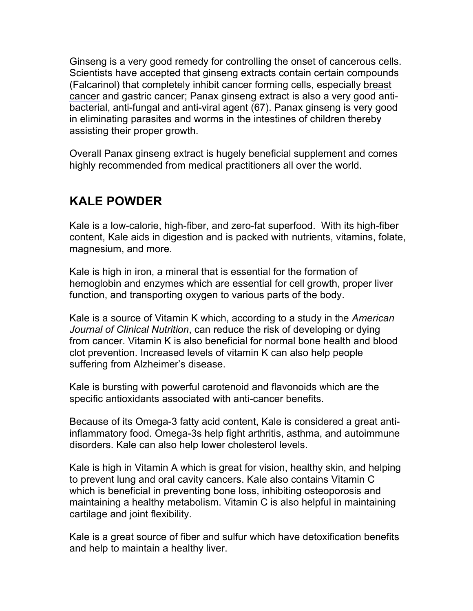Ginseng is a very good remedy for controlling the onset of cancerous cells. Scientists have accepted that ginseng extracts contain certain compounds (Falcarinol) that completely inhibit cancer forming cells, especially breast cancer and gastric cancer; Panax ginseng extract is also a very good antibacterial, anti-fungal and anti-viral agent (67). Panax ginseng is very good in eliminating parasites and worms in the intestines of children thereby assisting their proper growth.

Overall Panax ginseng extract is hugely beneficial supplement and comes highly recommended from medical practitioners all over the world.

### **KALE POWDER**

Kale is a low-calorie, high-fiber, and zero-fat superfood. With its high-fiber content, Kale aids in digestion and is packed with nutrients, vitamins, folate, magnesium, and more.

Kale is high in iron, a mineral that is essential for the formation of hemoglobin and enzymes which are essential for cell growth, proper liver function, and transporting oxygen to various parts of the body.

Kale is a source of Vitamin K which, according to a study in the *American Journal of Clinical Nutrition*, can reduce the risk of developing or dying from cancer. Vitamin K is also beneficial for normal bone health and blood clot prevention. Increased levels of vitamin K can also help people suffering from Alzheimer's disease.

Kale is bursting with powerful carotenoid and flavonoids which are the specific antioxidants associated with anti-cancer benefits.

Because of its Omega-3 fatty acid content, Kale is considered a great antiinflammatory food. Omega-3s help fight arthritis, asthma, and autoimmune disorders. Kale can also help lower cholesterol levels.

Kale is high in Vitamin A which is great for vision, healthy skin, and helping to prevent lung and oral cavity cancers. Kale also contains Vitamin C which is beneficial in preventing bone loss, inhibiting osteoporosis and maintaining a healthy metabolism. Vitamin C is also helpful in maintaining cartilage and joint flexibility.

Kale is a great source of fiber and sulfur which have detoxification benefits and help to maintain a healthy liver.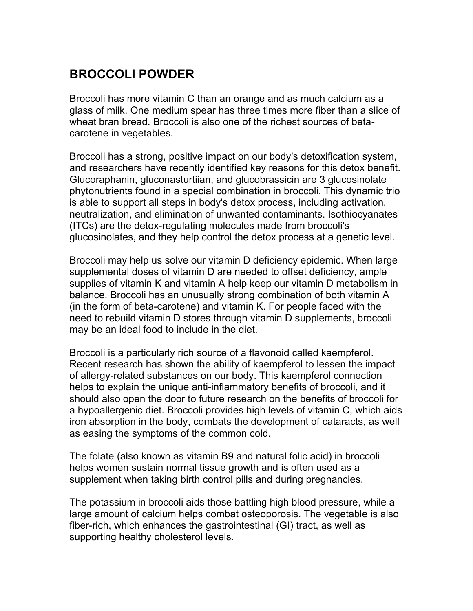### **BROCCOLI POWDER**

Broccoli has more vitamin C than an orange and as much calcium as a glass of milk. One medium spear has three times more fiber than a slice of wheat bran bread. Broccoli is also one of the richest sources of betacarotene in vegetables.

Broccoli has a strong, positive impact on our body's detoxification system, and researchers have recently identified key reasons for this detox benefit. Glucoraphanin, gluconasturtiian, and glucobrassicin are 3 glucosinolate phytonutrients found in a special combination in broccoli. This dynamic trio is able to support all steps in body's detox process, including activation, neutralization, and elimination of unwanted contaminants. Isothiocyanates (ITCs) are the detox-regulating molecules made from broccoli's glucosinolates, and they help control the detox process at a genetic level.

Broccoli may help us solve our vitamin D deficiency epidemic. When large supplemental doses of vitamin D are needed to offset deficiency, ample supplies of vitamin K and vitamin A help keep our vitamin D metabolism in balance. Broccoli has an unusually strong combination of both vitamin A (in the form of beta-carotene) and vitamin K. For people faced with the need to rebuild vitamin D stores through vitamin D supplements, broccoli may be an ideal food to include in the diet.

Broccoli is a particularly rich source of a flavonoid called kaempferol. Recent research has shown the ability of kaempferol to lessen the impact of allergy-related substances on our body. This kaempferol connection helps to explain the unique anti-inflammatory benefits of broccoli, and it should also open the door to future research on the benefits of broccoli for a hypoallergenic diet. Broccoli provides high levels of vitamin C, which aids iron absorption in the body, combats the development of cataracts, as well as easing the symptoms of the common cold.

The folate (also known as vitamin B9 and natural folic acid) in broccoli helps women sustain normal tissue growth and is often used as a supplement when taking birth control pills and during pregnancies.

The potassium in broccoli aids those battling high blood pressure, while a large amount of calcium helps combat osteoporosis. The vegetable is also fiber-rich, which enhances the gastrointestinal (GI) tract, as well as supporting healthy cholesterol levels.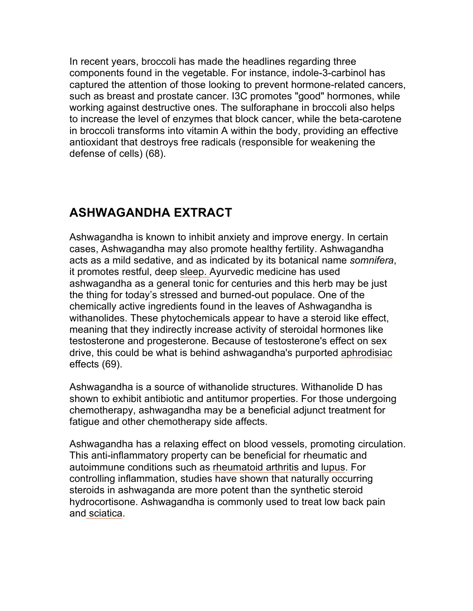In recent years, broccoli has made the headlines regarding three components found in the vegetable. For instance, indole-3-carbinol has captured the attention of those looking to prevent hormone-related cancers, such as breast and prostate cancer. I3C promotes "good" hormones, while working against destructive ones. The sulforaphane in broccoli also helps to increase the level of enzymes that block cancer, while the beta-carotene in broccoli transforms into vitamin A within the body, providing an effective antioxidant that destroys free radicals (responsible for weakening the defense of cells) (68).

### **ASHWAGANDHA EXTRACT**

Ashwagandha is known to inhibit anxiety and improve energy. In certain cases, Ashwagandha may also promote healthy fertility. Ashwagandha acts as a mild sedative, and as indicated by its botanical name *somnifera*, it promotes restful, deep sleep. Ayurvedic medicine has used ashwagandha as a general tonic for centuries and this herb may be just the thing for today's stressed and burned-out populace. One of the chemically active ingredients found in the leaves of Ashwagandha is withanolides. These phytochemicals appear to have a steroid like effect, meaning that they indirectly increase activity of steroidal hormones like testosterone and progesterone. Because of testosterone's effect on sex drive, this could be what is behind ashwagandha's purported aphrodisiac effects (69).

Ashwagandha is a source of withanolide structures. Withanolide D has shown to exhibit antibiotic and antitumor properties. For those undergoing chemotherapy, ashwagandha may be a beneficial adjunct treatment for fatigue and other chemotherapy side affects.

Ashwagandha has a relaxing effect on blood vessels, promoting circulation. This anti-inflammatory property can be beneficial for rheumatic and autoimmune conditions such as rheumatoid arthritis and lupus. For controlling inflammation, studies have shown that naturally occurring steroids in ashwaganda are more potent than the synthetic steroid hydrocortisone. Ashwagandha is commonly used to treat low back pain and sciatica.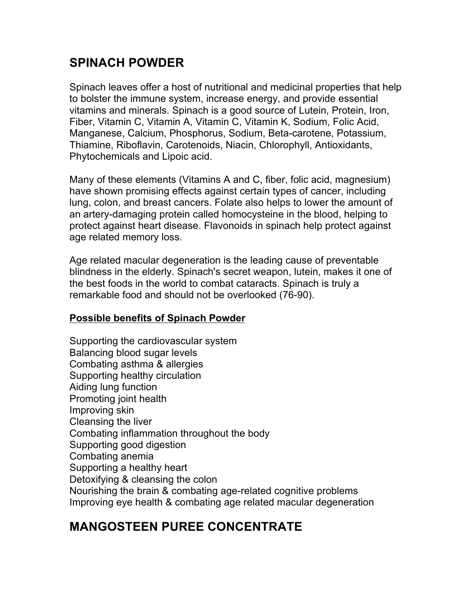### **SPINACH POWDER**

Spinach leaves offer a host of nutritional and medicinal properties that help to bolster the immune system, increase energy, and provide essential vitamins and minerals. Spinach is a good source of Lutein, Protein, Iron, Fiber, Vitamin C, Vitamin A, Vitamin C, Vitamin K, Sodium, Folic Acid, Manganese, Calcium, Phosphorus, Sodium, Beta-carotene, Potassium, Thiamine, Riboflavin, Carotenoids, Niacin, Chlorophyll, Antioxidants, Phytochemicals and Lipoic acid.

Many of these elements (Vitamins A and C, fiber, folic acid, magnesium) have shown promising effects against certain types of cancer, including lung, colon, and breast cancers. Folate also helps to lower the amount of an artery-damaging protein called homocysteine in the blood, helping to protect against heart disease. Flavonoids in spinach help protect against age related memory loss.

Age related macular degeneration is the leading cause of preventable blindness in the elderly. Spinach's secret weapon, lutein, makes it one of the best foods in the world to combat cataracts. Spinach is truly a remarkable food and should not be overlooked (76-90).

#### **Possible benefits of Spinach Powder**

Supporting the cardiovascular system Balancing blood sugar levels Combating asthma & allergies Supporting healthy circulation Aiding lung function Promoting joint health Improving skin Cleansing the liver Combating inflammation throughout the body Supporting good digestion Combating anemia Supporting a healthy heart Detoxifying & cleansing the colon Nourishing the brain & combating age-related cognitive problems Improving eye health & combating age related macular degeneration

### **MANGOSTEEN PUREE CONCENTRATE**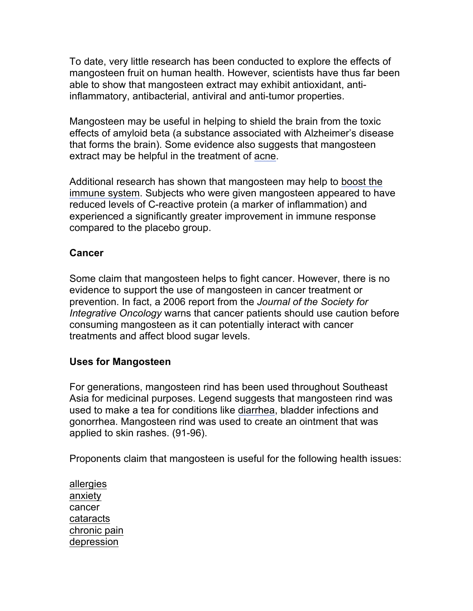To date, very little research has been conducted to explore the effects of mangosteen fruit on human health. However, scientists have thus far been able to show that mangosteen extract may exhibit antioxidant, antiinflammatory, antibacterial, antiviral and anti-tumor properties.

Mangosteen may be useful in helping to shield the brain from the toxic effects of amyloid beta (a substance associated with Alzheimer's disease that forms the brain). Some evidence also suggests that mangosteen extract may be helpful in the treatment of acne.

Additional research has shown that mangosteen may help to boost the immune system. Subjects who were given mangosteen appeared to have reduced levels of C-reactive protein (a marker of inflammation) and experienced a significantly greater improvement in immune response compared to the placebo group.

#### **Cancer**

Some claim that mangosteen helps to fight cancer. However, there is no evidence to support the use of mangosteen in cancer treatment or prevention. In fact, a 2006 report from the *Journal of the Society for Integrative Oncology* warns that cancer patients should use caution before consuming mangosteen as it can potentially interact with cancer treatments and affect blood sugar levels.

#### **Uses for Mangosteen**

For generations, mangosteen rind has been used throughout Southeast Asia for medicinal purposes. Legend suggests that mangosteen rind was used to make a tea for conditions like diarrhea, bladder infections and gonorrhea. Mangosteen rind was used to create an ointment that was applied to skin rashes. (91-96).

Proponents claim that mangosteen is useful for the following health issues:

allergies anxiety cancer cataracts chronic pain depression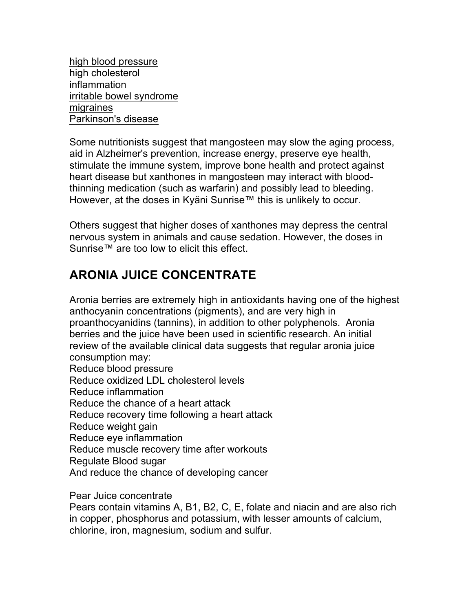high blood pressure high cholesterol inflammation irritable bowel syndrome migraines Parkinson's disease

Some nutritionists suggest that mangosteen may slow the aging process, aid in Alzheimer's prevention, increase energy, preserve eye health, stimulate the immune system, improve bone health and protect against heart disease but xanthones in mangosteen may interact with bloodthinning medication (such as warfarin) and possibly lead to bleeding. However, at the doses in Kyäni Sunrise™ this is unlikely to occur.

Others suggest that higher doses of xanthones may depress the central nervous system in animals and cause sedation. However, the doses in Sunrise™ are too low to elicit this effect.

### **ARONIA JUICE CONCENTRATE**

Aronia berries are extremely high in antioxidants having one of the highest anthocyanin concentrations (pigments), and are very high in proanthocyanidins (tannins), in addition to other polyphenols. Aronia berries and the juice have been used in scientific research. An initial review of the available clinical data suggests that regular aronia juice consumption may:

Reduce blood pressure

Reduce oxidized LDL cholesterol levels

Reduce inflammation

Reduce the chance of a heart attack

Reduce recovery time following a heart attack

Reduce weight gain

Reduce eye inflammation

Reduce muscle recovery time after workouts

Regulate Blood sugar

And reduce the chance of developing cancer

Pear Juice concentrate

Pears contain vitamins A, B1, B2, C, E, folate and niacin and are also rich in copper, phosphorus and potassium, with lesser amounts of calcium, chlorine, iron, magnesium, sodium and sulfur.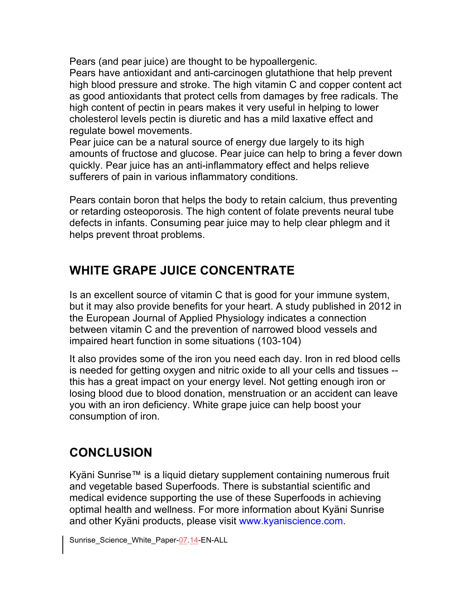Pears (and pear juice) are thought to be hypoallergenic. Pears have antioxidant and anti-carcinogen glutathione that help prevent high blood pressure and stroke. The high vitamin C and copper content act as good antioxidants that protect cells from damages by free radicals. The high content of pectin in pears makes it very useful in helping to lower cholesterol levels pectin is diuretic and has a mild laxative effect and regulate bowel movements.

Pear juice can be a natural source of energy due largely to its high amounts of fructose and glucose. Pear juice can help to bring a fever down quickly. Pear juice has an anti-inflammatory effect and helps relieve sufferers of pain in various inflammatory conditions.

Pears contain boron that helps the body to retain calcium, thus preventing or retarding osteoporosis. The high content of folate prevents neural tube defects in infants. Consuming pear juice may to help clear phlegm and it helps prevent throat problems.

### **WHITE GRAPE JUICE CONCENTRATE**

Is an excellent source of vitamin C that is good for your immune system, but it may also provide benefits for your heart. A study published in 2012 in the European Journal of Applied Physiology indicates a connection between vitamin C and the prevention of narrowed blood vessels and impaired heart function in some situations (103-104)

It also provides some of the iron you need each day. Iron in red blood cells is needed for getting oxygen and nitric oxide to all your cells and tissues - this has a great impact on your energy level. Not getting enough iron or losing blood due to blood donation, menstruation or an accident can leave you with an iron deficiency. White grape juice can help boost your consumption of iron.

# **CONCLUSION**

Kyäni Sunrise™ is a liquid dietary supplement containing numerous fruit and vegetable based Superfoods. There is substantial scientific and medical evidence supporting the use of these Superfoods in achieving optimal health and wellness. For more information about Kyäni Sunrise and other Kyäni products, please visit www.kyaniscience.com.

Sunrise\_Science\_White\_Paper-07.14-EN-ALL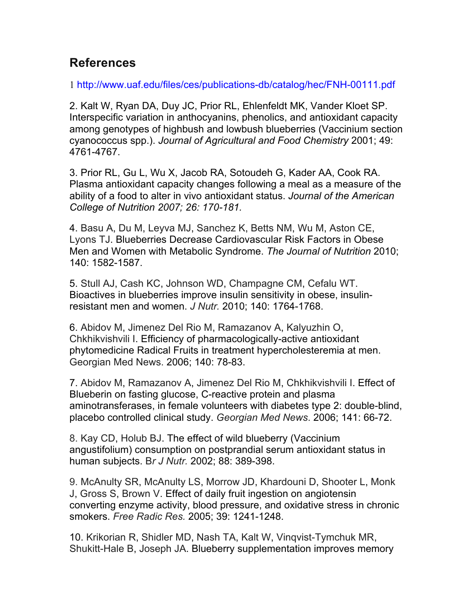### **References**

1 http://www.uaf.edu/files/ces/publications-db/catalog/hec/FNH-00111.pdf

2. Kalt W, Ryan DA, Duy JC, Prior RL, Ehlenfeldt MK, Vander Kloet SP. Interspecific variation in anthocyanins, phenolics, and antioxidant capacity among genotypes of highbush and lowbush blueberries (Vaccinium section cyanococcus spp.). *Journal of Agricultural and Food Chemistry* 2001; 49: 4761-4767.

3. Prior RL, Gu L, Wu X, Jacob RA, Sotoudeh G, Kader AA, Cook RA. Plasma antioxidant capacity changes following a meal as a measure of the ability of a food to alter in vivo antioxidant status. *Journal of the American College of Nutrition 2007; 26: 170-181.*

4. Basu A, Du M, Leyva MJ, Sanchez K, Betts NM, Wu M, Aston CE, Lyons TJ. Blueberries Decrease Cardiovascular Risk Factors in Obese Men and Women with Metabolic Syndrome. *The Journal of Nutrition* 2010; 140: 1582-1587.

5. Stull AJ, Cash KC, Johnson WD, Champagne CM, Cefalu WT. Bioactives in blueberries improve insulin sensitivity in obese, insulinresistant men and women. *J Nutr.* 2010; 140: 1764-1768.

6. Abidov M, Jimenez Del Rio M, Ramazanov A, Kalyuzhin O, Chkhikvishvili I. Efficiency of pharmacologically-active antioxidant phytomedicine Radical Fruits in treatment hypercholesteremia at men. Georgian Med News. 2006; 140: 78-83.

7. Abidov M, Ramazanov A, Jimenez Del Rio M, Chkhikvishvili I. Effect of Blueberin on fasting glucose, C-reactive protein and plasma aminotransferases, in female volunteers with diabetes type 2: double-blind, placebo controlled clinical study. *Georgian Med News*. 2006; 141: 66-72.

8. Kay CD, Holub BJ. The effect of wild blueberry (Vaccinium angustifolium) consumption on postprandial serum antioxidant status in human subjects. B*r J Nutr.* 2002; 88: 389-398.

9. McAnulty SR, McAnulty LS, Morrow JD, Khardouni D, Shooter L, Monk J, Gross S, Brown V. Effect of daily fruit ingestion on angiotensin converting enzyme activity, blood pressure, and oxidative stress in chronic smokers. *Free Radic Res.* 2005; 39: 1241-1248.

10. Krikorian R, Shidler MD, Nash TA, Kalt W, Vinqvist-Tymchuk MR, Shukitt-Hale B, Joseph JA. Blueberry supplementation improves memory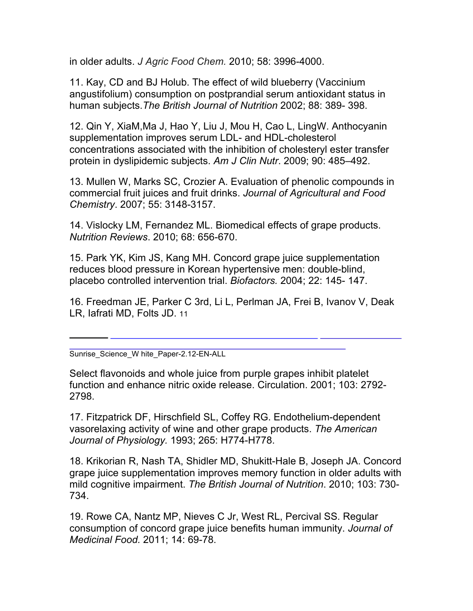in older adults. *J Agric Food Chem.* 2010; 58: 3996-4000.

11. Kay, CD and BJ Holub. The effect of wild blueberry (Vaccinium angustifolium) consumption on postprandial serum antioxidant status in human subjects.*The British Journal of Nutrition* 2002; 88: 389- 398.

12. Qin Y, XiaM,Ma J, Hao Y, Liu J, Mou H, Cao L, LingW. Anthocyanin supplementation improves serum LDL- and HDL-cholesterol concentrations associated with the inhibition of cholesteryl ester transfer protein in dyslipidemic subjects. *Am J Clin Nutr*. 2009; 90: 485–492.

13. Mullen W, Marks SC, Crozier A. Evaluation of phenolic compounds in commercial fruit juices and fruit drinks. *Journal of Agricultural and Food Chemistry*. 2007; 55: 3148-3157.

14. Vislocky LM, Fernandez ML. Biomedical effects of grape products. *Nutrition Reviews*. 2010; 68: 656-670.

15. Park YK, Kim JS, Kang MH. Concord grape juice supplementation reduces blood pressure in Korean hypertensive men: double-blind, placebo controlled intervention trial. *Biofactors.* 2004; 22: 145- 147.

16. Freedman JE, Parker C 3rd, Li L, Perlman JA, Frei B, Ivanov V, Deak LR, Iafrati MD, Folts JD. 11

Sunrise\_Science\_W hite\_Paper-2.12-EN-ALL

Select flavonoids and whole juice from purple grapes inhibit platelet function and enhance nitric oxide release. Circulation. 2001; 103: 2792- 2798.

17. Fitzpatrick DF, Hirschfield SL, Coffey RG. Endothelium-dependent vasorelaxing activity of wine and other grape products. *The American Journal of Physiology.* 1993; 265: H774-H778.

18. Krikorian R, Nash TA, Shidler MD, Shukitt-Hale B, Joseph JA. Concord grape juice supplementation improves memory function in older adults with mild cognitive impairment. *The British Journal of Nutrition*. 2010; 103: 730- 734.

19. Rowe CA, Nantz MP, Nieves C Jr, West RL, Percival SS. Regular consumption of concord grape juice benefits human immunity. *Journal of Medicinal Food.* 2011; 14: 69-78.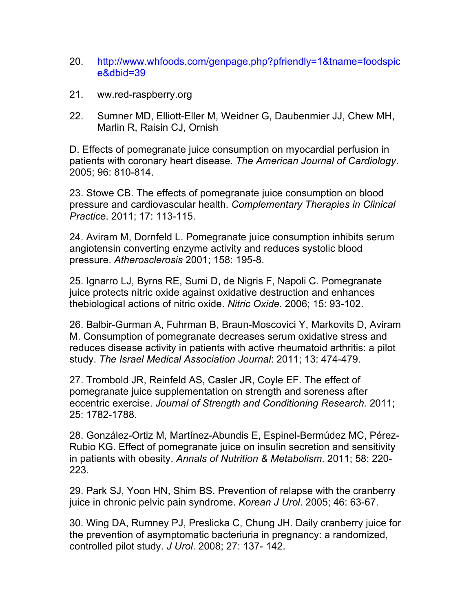- 20. http://www.whfoods.com/genpage.php?pfriendly=1&tname=foodspic e&dbid=39
- 21. ww.red-raspberry.org
- 22. Sumner MD, Elliott-Eller M, Weidner G, Daubenmier JJ, Chew MH, Marlin R, Raisin CJ, Ornish

D. Effects of pomegranate juice consumption on myocardial perfusion in patients with coronary heart disease. *The American Journal of Cardiology*. 2005; 96: 810-814.

23. Stowe CB. The effects of pomegranate juice consumption on blood pressure and cardiovascular health. *Complementary Therapies in Clinical Practice*. 2011; 17: 113-115.

24. Aviram M, Dornfeld L. Pomegranate juice consumption inhibits serum angiotensin converting enzyme activity and reduces systolic blood pressure. *Atherosclerosis* 2001; 158: 195-8.

25. Ignarro LJ, Byrns RE, Sumi D, de Nigris F, Napoli C. Pomegranate juice protects nitric oxide against oxidative destruction and enhances thebiological actions of nitric oxide. *Nitric Oxide*. 2006; 15: 93-102.

26. Balbir-Gurman A, Fuhrman B, Braun-Moscovici Y, Markovits D, Aviram M. Consumption of pomegranate decreases serum oxidative stress and reduces disease activity in patients with active rheumatoid arthritis: a pilot study. *The Israel Medical Association Journal*: 2011; 13: 474-479.

27. Trombold JR, Reinfeld AS, Casler JR, Coyle EF. The effect of pomegranate juice supplementation on strength and soreness after eccentric exercise. *Journal of Strength and Conditioning Research.* 2011; 25: 1782-1788.

28. González-Ortiz M, Martínez-Abundis E, Espinel-Bermúdez MC, Pérez-Rubio KG. Effect of pomegranate juice on insulin secretion and sensitivity in patients with obesity. *Annals of Nutrition & Metabolism*. 2011; 58: 220- 223.

29. Park SJ, Yoon HN, Shim BS. Prevention of relapse with the cranberry juice in chronic pelvic pain syndrome. *Korean J Urol*. 2005; 46: 63-67.

30. Wing DA, Rumney PJ, Preslicka C, Chung JH. Daily cranberry juice for the prevention of asymptomatic bacteriuria in pregnancy: a randomized, controlled pilot study. *J Urol*. 2008; 27: 137- 142.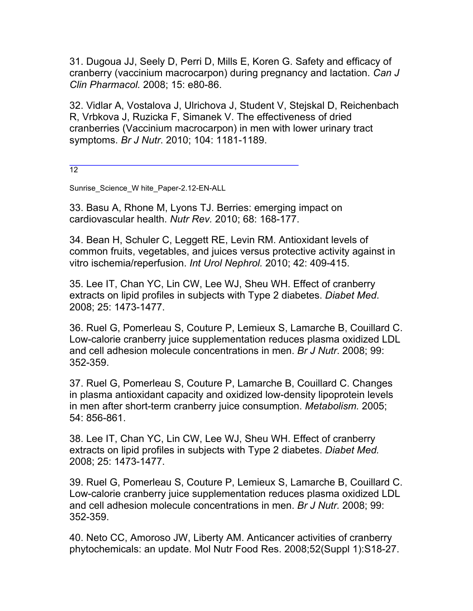31. Dugoua JJ, Seely D, Perri D, Mills E, Koren G. Safety and efficacy of cranberry (vaccinium macrocarpon) during pregnancy and lactation. *Can J Clin Pharmacol.* 2008; 15: e80-86.

32. Vidlar A, Vostalova J, Ulrichova J, Student V, Stejskal D, Reichenbach R, Vrbkova J, Ruzicka F, Simanek V. The effectiveness of dried cranberries (Vaccinium macrocarpon) in men with lower urinary tract symptoms. *Br J Nutr*. 2010; 104: 1181-1189.

 $12$ 

Sunrise\_Science\_W hite\_Paper-2.12-EN-ALL

33. Basu A, Rhone M, Lyons TJ. Berries: emerging impact on cardiovascular health. *Nutr Rev.* 2010; 68: 168-177.

34. Bean H, Schuler C, Leggett RE, Levin RM. Antioxidant levels of common fruits, vegetables, and juices versus protective activity against in vitro ischemia/reperfusion. *Int Urol Nephrol.* 2010; 42: 409-415.

35. Lee IT, Chan YC, Lin CW, Lee WJ, Sheu WH. Effect of cranberry extracts on lipid profiles in subjects with Type 2 diabetes. *Diabet Med*. 2008; 25: 1473-1477.

36. Ruel G, Pomerleau S, Couture P, Lemieux S, Lamarche B, Couillard C. Low-calorie cranberry juice supplementation reduces plasma oxidized LDL and cell adhesion molecule concentrations in men. *Br J Nutr*. 2008; 99: 352-359.

37. Ruel G, Pomerleau S, Couture P, Lamarche B, Couillard C. Changes in plasma antioxidant capacity and oxidized low-density lipoprotein levels in men after short-term cranberry juice consumption. *Metabolism.* 2005; 54: 856-861.

38. Lee IT, Chan YC, Lin CW, Lee WJ, Sheu WH. Effect of cranberry extracts on lipid profiles in subjects with Type 2 diabetes. *Diabet Med.*  2008; 25: 1473-1477.

39. Ruel G, Pomerleau S, Couture P, Lemieux S, Lamarche B, Couillard C. Low-calorie cranberry juice supplementation reduces plasma oxidized LDL and cell adhesion molecule concentrations in men. *Br J Nutr.* 2008; 99: 352-359.

40. Neto CC, Amoroso JW, Liberty AM. Anticancer activities of cranberry phytochemicals: an update. Mol Nutr Food Res. 2008;52(Suppl 1):S18-27.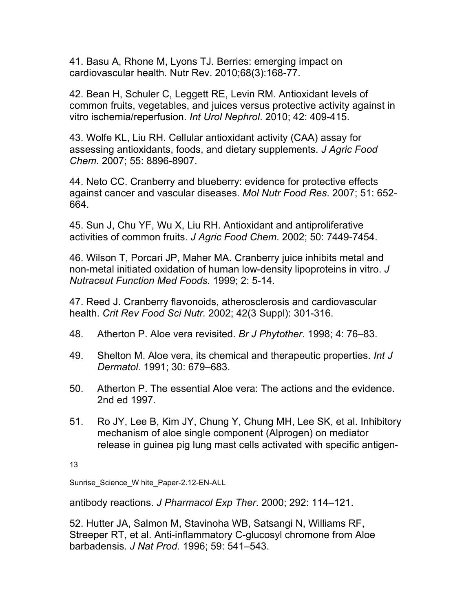41. Basu A, Rhone M, Lyons TJ. Berries: emerging impact on cardiovascular health. Nutr Rev. 2010;68(3):168-77.

42. Bean H, Schuler C, Leggett RE, Levin RM. Antioxidant levels of common fruits, vegetables, and juices versus protective activity against in vitro ischemia/reperfusion. *Int Urol Nephrol*. 2010; 42: 409-415.

43. Wolfe KL, Liu RH. Cellular antioxidant activity (CAA) assay for assessing antioxidants, foods, and dietary supplements. *J Agric Food Chem*. 2007; 55: 8896-8907.

44. Neto CC. Cranberry and blueberry: evidence for protective effects against cancer and vascular diseases. *Mol Nutr Food Res*. 2007; 51: 652- 664.

45. Sun J, Chu YF, Wu X, Liu RH. Antioxidant and antiproliferative activities of common fruits. *J Agric Food Chem*. 2002; 50: 7449-7454.

46. Wilson T, Porcari JP, Maher MA. Cranberry juice inhibits metal and non-metal initiated oxidation of human low-density lipoproteins in vitro. *J Nutraceut Function Med Foods.* 1999; 2: 5-14.

47. Reed J. Cranberry flavonoids, atherosclerosis and cardiovascular health. *Crit Rev Food Sci Nutr.* 2002; 42(3 Suppl): 301-316.

- 48. Atherton P. Aloe vera revisited. *Br J Phytother*. 1998; 4: 76–83.
- 49. Shelton M. Aloe vera, its chemical and therapeutic properties. *Int J Dermatol.* 1991; 30: 679–683.
- 50. Atherton P. The essential Aloe vera: The actions and the evidence. 2nd ed 1997.
- 51. Ro JY, Lee B, Kim JY, Chung Y, Chung MH, Lee SK, et al. Inhibitory mechanism of aloe single component (Alprogen) on mediator release in guinea pig lung mast cells activated with specific antigen-

13

Sunrise\_Science\_W hite\_Paper-2.12-EN-ALL

antibody reactions. *J Pharmacol Exp Ther*. 2000; 292: 114–121.

52. Hutter JA, Salmon M, Stavinoha WB, Satsangi N, Williams RF, Streeper RT, et al. Anti-inflammatory C-glucosyl chromone from Aloe barbadensis. *J Nat Prod.* 1996; 59: 541–543.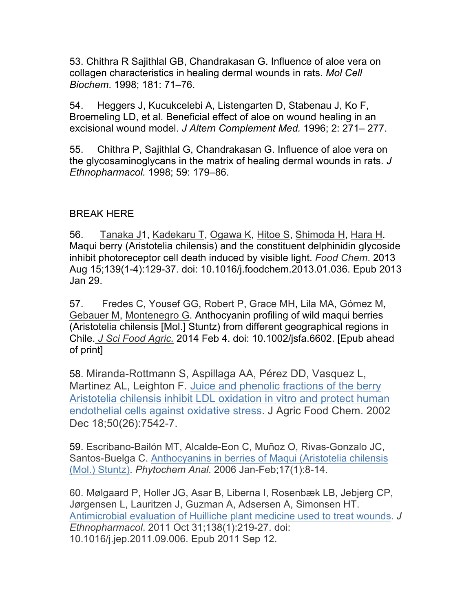53. Chithra R Sajithlal GB, Chandrakasan G. Influence of aloe vera on collagen characteristics in healing dermal wounds in rats. *Mol Cell Biochem*. 1998; 181: 71–76.

54. Heggers J, Kucukcelebi A, Listengarten D, Stabenau J, Ko F, Broemeling LD, et al. Beneficial effect of aloe on wound healing in an excisional wound model. *J Altern Complement Med.* 1996; 2: 271– 277.

55. Chithra P, Sajithlal G, Chandrakasan G. Influence of aloe vera on the glycosaminoglycans in the matrix of healing dermal wounds in rats. *J Ethnopharmacol.* 1998; 59: 179–86.

#### BREAK HERE

56. Tanaka J1, Kadekaru T, Ogawa K, Hitoe S, Shimoda H, Hara H. Maqui berry (Aristotelia chilensis) and the constituent delphinidin glycoside inhibit photoreceptor cell death induced by visible light. *Food Chem*. 2013 Aug 15;139(1-4):129-37. doi: 10.1016/j.foodchem.2013.01.036. Epub 2013 Jan 29.

57. Fredes C, Yousef GG, Robert P, Grace MH, Lila MA, Gómez M, Gebauer M, Montenegro G. Anthocyanin profiling of wild maqui berries (Aristotelia chilensis [Mol.] Stuntz) from different geographical regions in Chile. *J Sci Food Agric.* 2014 Feb 4. doi: 10.1002/jsfa.6602. [Epub ahead of print]

58. Miranda-Rottmann S, Aspillaga AA, Pérez DD, Vasquez L, Martinez AL, Leighton F. Juice and phenolic fractions of the berry Aristotelia chilensis inhibit LDL oxidation in vitro and protect human endothelial cells against oxidative stress. J Agric Food Chem. 2002 Dec 18;50(26):7542-7.

59. Escribano-Bailón MT, Alcalde-Eon C, Muñoz O, Rivas-Gonzalo JC, Santos-Buelga C. Anthocyanins in berries of Maqui (Aristotelia chilensis (Mol.) Stuntz). *Phytochem Anal*. 2006 Jan-Feb;17(1):8-14.

60. Mølgaard P, Holler JG, Asar B, Liberna I, Rosenbæk LB, Jebjerg CP, Jørgensen L, Lauritzen J, Guzman A, Adsersen A, Simonsen HT. Antimicrobial evaluation of Huilliche plant medicine used to treat wounds. *J Ethnopharmacol*. 2011 Oct 31;138(1):219-27. doi: 10.1016/j.jep.2011.09.006. Epub 2011 Sep 12.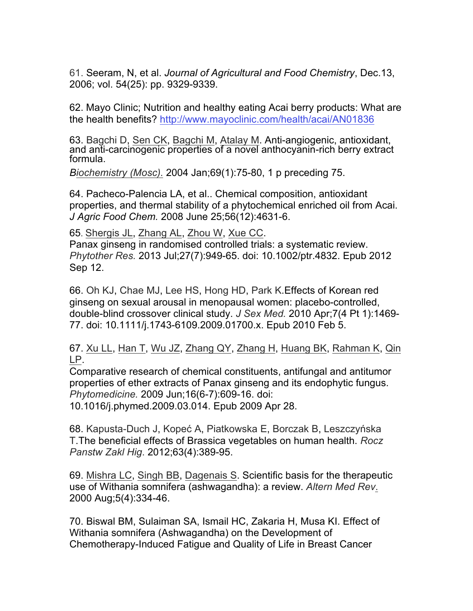61. Seeram, N, et al. *Journal of Agricultural and Food Chemistry*, Dec.13, 2006; vol. 54(25): pp. 9329-9339.

62. Mayo Clinic; Nutrition and healthy eating Acai berry products: What are the health benefits? http://www.mayoclinic.com/health/acai/AN01836

63. Bagchi D, Sen CK, Bagchi M, Atalay M. Anti-angiogenic, antioxidant, and anti-carcinogenic properties of a novel anthocyanin-rich berry extract<br>formula.

*Biochemistry (Mosc).* 2004 Jan;69(1):75-80, 1 p preceding 75.

64. Pacheco-Palencia LA, et al.. Chemical composition, antioxidant properties, and thermal stability of a phytochemical enriched oil from Acai. *J Agric Food Chem.* 2008 June 25;56(12):4631-6.

65. Shergis JL, Zhang AL, Zhou W, Xue CC.

Panax ginseng in randomised controlled trials: a systematic review. *Phytother Res.* 2013 Jul;27(7):949-65. doi: 10.1002/ptr.4832. Epub 2012 Sep 12.

66. Oh KJ, Chae MJ, Lee HS, Hong HD, Park K.Effects of Korean red ginseng on sexual arousal in menopausal women: placebo-controlled, double-blind crossover clinical study. *J Sex Med.* 2010 Apr;7(4 Pt 1):1469- 77. doi: 10.1111/j.1743-6109.2009.01700.x. Epub 2010 Feb 5.

67. Xu LL, Han T, Wu JZ, Zhang QY, Zhang H, Huang BK, Rahman K, Qin LP.

Comparative research of chemical constituents, antifungal and antitumor properties of ether extracts of Panax ginseng and its endophytic fungus. *Phytomedicine.* 2009 Jun;16(6-7):609-16. doi:

10.1016/j.phymed.2009.03.014. Epub 2009 Apr 28.

68. Kapusta-Duch J, Kopeć A, Piatkowska E, Borczak B, Leszczyńska T.The beneficial effects of Brassica vegetables on human health. *Rocz Panstw Zakl Hig*. 2012;63(4):389-95.

69. Mishra LC, Singh BB, Dagenais S. Scientific basis for the therapeutic use of Withania somnifera (ashwagandha): a review. *Altern Med Rev*. 2000 Aug;5(4):334-46.

70. Biswal BM, Sulaiman SA, Ismail HC, Zakaria H, Musa KI. Effect of Withania somnifera (Ashwagandha) on the Development of Chemotherapy-Induced Fatigue and Quality of Life in Breast Cancer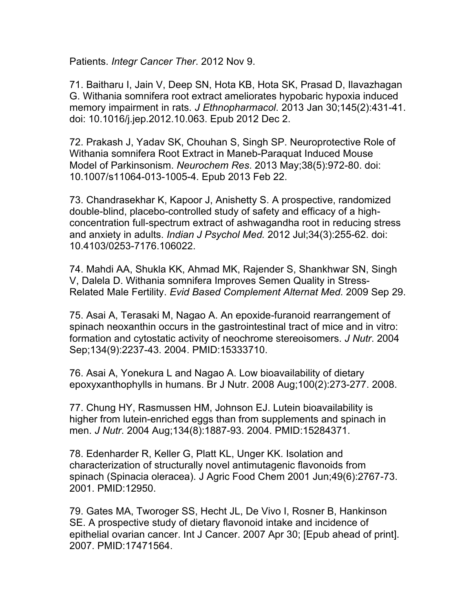Patients. *Integr Cancer Ther*. 2012 Nov 9.

71. Baitharu I, Jain V, Deep SN, Hota KB, Hota SK, Prasad D, Ilavazhagan G. Withania somnifera root extract ameliorates hypobaric hypoxia induced memory impairment in rats. *J Ethnopharmacol*. 2013 Jan 30;145(2):431-41. doi: 10.1016/j.jep.2012.10.063. Epub 2012 Dec 2.

72. Prakash J, Yadav SK, Chouhan S, Singh SP. Neuroprotective Role of Withania somnifera Root Extract in Maneb-Paraquat Induced Mouse Model of Parkinsonism. *Neurochem Res*. 2013 May;38(5):972-80. doi: 10.1007/s11064-013-1005-4. Epub 2013 Feb 22.

73. Chandrasekhar K, Kapoor J, Anishetty S. A prospective, randomized double-blind, placebo-controlled study of safety and efficacy of a highconcentration full-spectrum extract of ashwagandha root in reducing stress and anxiety in adults. *Indian J Psychol Med.* 2012 Jul;34(3):255-62. doi: 10.4103/0253-7176.106022.

74. Mahdi AA, Shukla KK, Ahmad MK, Rajender S, Shankhwar SN, Singh V, Dalela D. Withania somnifera Improves Semen Quality in Stress-Related Male Fertility. *Evid Based Complement Alternat Med*. 2009 Sep 29.

75. Asai A, Terasaki M, Nagao A. An epoxide-furanoid rearrangement of spinach neoxanthin occurs in the gastrointestinal tract of mice and in vitro: formation and cytostatic activity of neochrome stereoisomers. *J Nutr*. 2004 Sep;134(9):2237-43. 2004. PMID:15333710.

76. Asai A, Yonekura L and Nagao A. Low bioavailability of dietary epoxyxanthophylls in humans. Br J Nutr. 2008 Aug;100(2):273-277. 2008.

77. Chung HY, Rasmussen HM, Johnson EJ. Lutein bioavailability is higher from lutein-enriched eggs than from supplements and spinach in men. *J Nutr*. 2004 Aug;134(8):1887-93. 2004. PMID:15284371.

78. Edenharder R, Keller G, Platt KL, Unger KK. Isolation and characterization of structurally novel antimutagenic flavonoids from spinach (Spinacia oleracea). J Agric Food Chem 2001 Jun;49(6):2767-73. 2001. PMID:12950.

79. Gates MA, Tworoger SS, Hecht JL, De Vivo I, Rosner B, Hankinson SE. A prospective study of dietary flavonoid intake and incidence of epithelial ovarian cancer. Int J Cancer. 2007 Apr 30; [Epub ahead of print]. 2007. PMID:17471564.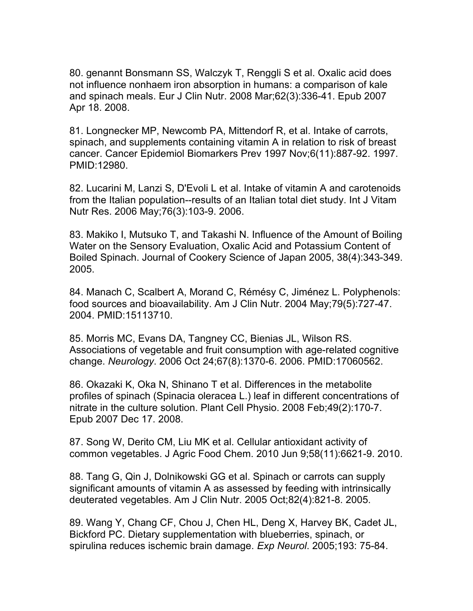80. genannt Bonsmann SS, Walczyk T, Renggli S et al. Oxalic acid does not influence nonhaem iron absorption in humans: a comparison of kale and spinach meals. Eur J Clin Nutr. 2008 Mar;62(3):336-41. Epub 2007 Apr 18. 2008.

81. Longnecker MP, Newcomb PA, Mittendorf R, et al. Intake of carrots, spinach, and supplements containing vitamin A in relation to risk of breast cancer. Cancer Epidemiol Biomarkers Prev 1997 Nov;6(11):887-92. 1997. PMID:12980.

82. Lucarini M, Lanzi S, D'Evoli L et al. Intake of vitamin A and carotenoids from the Italian population--results of an Italian total diet study. Int J Vitam Nutr Res. 2006 May;76(3):103-9. 2006.

83. Makiko I, Mutsuko T, and Takashi N. Influence of the Amount of Boiling Water on the Sensory Evaluation, Oxalic Acid and Potassium Content of Boiled Spinach. Journal of Cookery Science of Japan 2005, 38(4):343-349. 2005.

84. Manach C, Scalbert A, Morand C, Rémésy C, Jiménez L. Polyphenols: food sources and bioavailability. Am J Clin Nutr. 2004 May;79(5):727-47. 2004. PMID:15113710.

85. Morris MC, Evans DA, Tangney CC, Bienias JL, Wilson RS. Associations of vegetable and fruit consumption with age-related cognitive change. *Neurology*. 2006 Oct 24;67(8):1370-6. 2006. PMID:17060562.

86. Okazaki K, Oka N, Shinano T et al. Differences in the metabolite profiles of spinach (Spinacia oleracea L.) leaf in different concentrations of nitrate in the culture solution. Plant Cell Physio. 2008 Feb;49(2):170-7. Epub 2007 Dec 17. 2008.

87. Song W, Derito CM, Liu MK et al. Cellular antioxidant activity of common vegetables. J Agric Food Chem. 2010 Jun 9;58(11):6621-9. 2010.

88. Tang G, Qin J, Dolnikowski GG et al. Spinach or carrots can supply significant amounts of vitamin A as assessed by feeding with intrinsically deuterated vegetables. Am J Clin Nutr. 2005 Oct;82(4):821-8. 2005.

89. Wang Y, Chang CF, Chou J, Chen HL, Deng X, Harvey BK, Cadet JL, Bickford PC. Dietary supplementation with blueberries, spinach, or spirulina reduces ischemic brain damage. *Exp Neurol*. 2005;193: 75-84.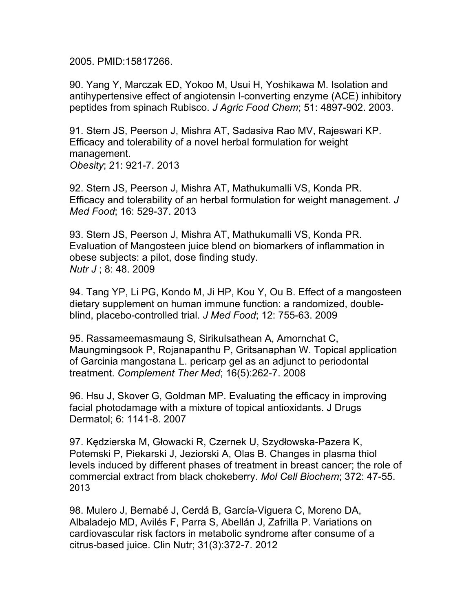2005. PMID:15817266.

90. Yang Y, Marczak ED, Yokoo M, Usui H, Yoshikawa M. Isolation and antihypertensive effect of angiotensin I-converting enzyme (ACE) inhibitory peptides from spinach Rubisco. *J Agric Food Chem*; 51: 4897-902. 2003.

91. Stern JS, Peerson J, Mishra AT, Sadasiva Rao MV, Rajeswari KP. Efficacy and tolerability of a novel herbal formulation for weight management. *Obesity*; 21: 921-7. 2013

92. Stern JS, Peerson J, Mishra AT, Mathukumalli VS, Konda PR. Efficacy and tolerability of an herbal formulation for weight management. *J Med Food*; 16: 529-37. 2013

93. Stern JS, Peerson J, Mishra AT, Mathukumalli VS, Konda PR. Evaluation of Mangosteen juice blend on biomarkers of inflammation in obese subjects: a pilot, dose finding study. *Nutr J* ; 8: 48. 2009

94. Tang YP, Li PG, Kondo M, Ji HP, Kou Y, Ou B. Effect of a mangosteen dietary supplement on human immune function: a randomized, doubleblind, placebo-controlled trial. *J Med Food*; 12: 755-63. 2009

95. Rassameemasmaung S, Sirikulsathean A, Amornchat C, Maungmingsook P, Rojanapanthu P, Gritsanaphan W. Topical application of Garcinia mangostana L. pericarp gel as an adjunct to periodontal treatment. *Complement Ther Med*; 16(5):262-7. 2008

96. Hsu J, Skover G, Goldman MP. Evaluating the efficacy in improving facial photodamage with a mixture of topical antioxidants. J Drugs Dermatol; 6: 1141-8. 2007

97. Kędzierska M, Głowacki R, Czernek U, Szydłowska-Pazera K, Potemski P, Piekarski J, Jeziorski A, Olas B. Changes in plasma thiol levels induced by different phases of treatment in breast cancer; the role of commercial extract from black chokeberry. *Mol Cell Biochem*; 372: 47-55. 2013

98. Mulero J, Bernabé J, Cerdá B, García-Viguera C, Moreno DA, Albaladejo MD, Avilés F, Parra S, Abellán J, Zafrilla P. Variations on cardiovascular risk factors in metabolic syndrome after consume of a citrus-based juice. Clin Nutr; 31(3):372-7. 2012